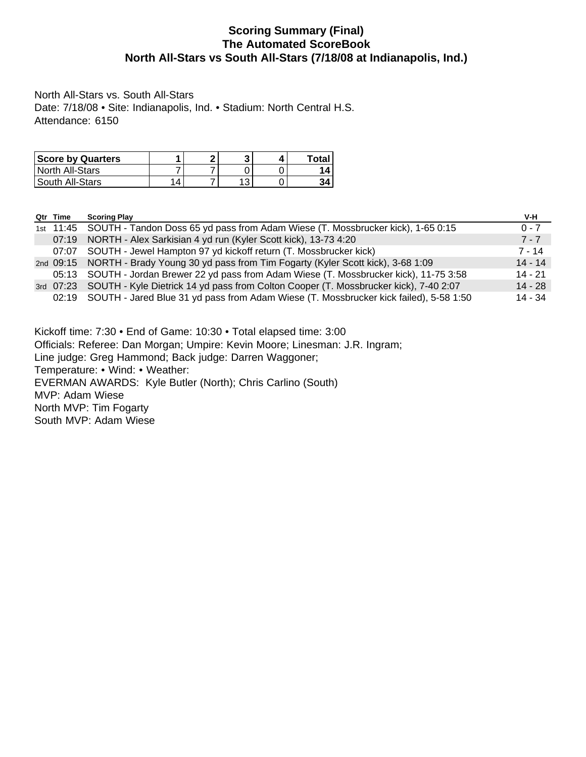## **Scoring Summary (Final) The Automated ScoreBook North All-Stars vs South All-Stars (7/18/08 at Indianapolis, Ind.)**

North All-Stars vs. South All-Stars Date: 7/18/08 • Site: Indianapolis, Ind. • Stadium: North Central H.S. Attendance: 6150

| <b>Score by Quarters</b> |   | m |  | Total. |
|--------------------------|---|---|--|--------|
| North All-Stars          |   |   |  | ,,     |
| South All-Stars          | Δ |   |  |        |

| $0 - 7$   |
|-----------|
| $7 - 7$   |
| $7 - 14$  |
| $14 - 14$ |
| 14 - 21   |
| $14 - 28$ |
| 14 - 34   |
|           |
|           |
|           |

Kickoff time: 7:30 • End of Game: 10:30 • Total elapsed time: 3:00 Officials: Referee: Dan Morgan; Umpire: Kevin Moore; Linesman: J.R. Ingram; Line judge: Greg Hammond; Back judge: Darren Waggoner; Temperature: • Wind: • Weather: EVERMAN AWARDS: Kyle Butler (North); Chris Carlino (South) MVP: Adam Wiese North MVP: Tim Fogarty South MVP: Adam Wiese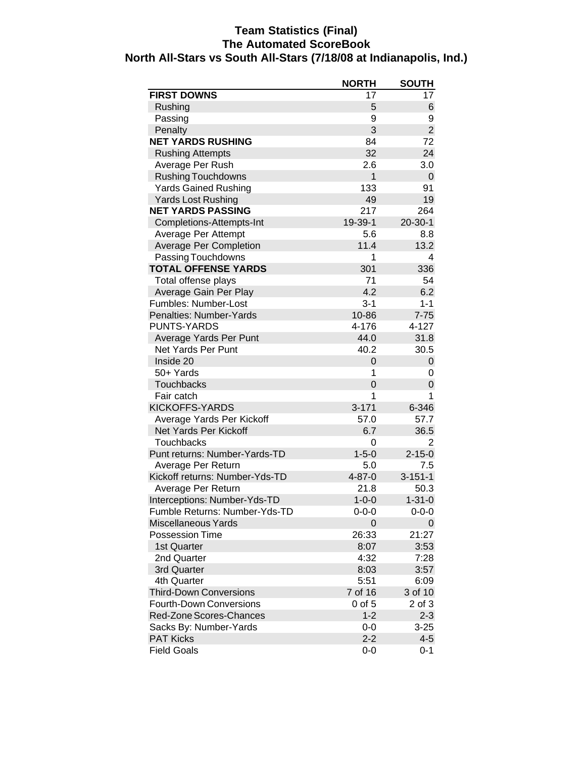# **Team Statistics (Final) The Automated ScoreBook North All-Stars vs South All-Stars (7/18/08 at Indianapolis, Ind.)**

| <b>FIRST DOWNS</b><br>17<br>17<br>Rushing<br>5<br>6<br>Passing<br>9<br>9<br>$\overline{2}$<br>3<br>Penalty<br><b>NET YARDS RUSHING</b><br>84<br>72<br>32<br>24<br><b>Rushing Attempts</b><br>Average Per Rush<br>2.6<br>3.0<br><b>Rushing Touchdowns</b><br>$\mathbf{1}$<br>0<br><b>Yards Gained Rushing</b><br>133<br>91<br><b>Yards Lost Rushing</b><br>49<br>19<br><b>NET YARDS PASSING</b><br>217<br>264<br>Completions-Attempts-Int<br>19-39-1<br>$20 - 30 - 1$<br>5.6<br>8.8<br>Average Per Attempt<br><b>Average Per Completion</b><br>11.4<br>13.2<br>Passing Touchdowns<br>1<br>4<br><b>TOTAL OFFENSE YARDS</b><br>301<br>336<br>Total offense plays<br>71<br>54<br>6.2<br>Average Gain Per Play<br>4.2<br>Fumbles: Number-Lost<br>$3 - 1$<br>$1 - 1$<br>$7 - 75$<br>Penalties: Number-Yards<br>10-86<br>PUNTS-YARDS<br>4-176<br>4-127<br>Average Yards Per Punt<br>44.0<br>31.8<br>Net Yards Per Punt<br>40.2<br>30.5<br>Inside 20<br>0<br>0<br>50+ Yards<br>1<br>0<br>Touchbacks<br>$\overline{0}$<br>0<br>Fair catch<br>1<br>1<br><b>KICKOFFS-YARDS</b><br>$3 - 171$<br>6-346<br>Average Yards Per Kickoff<br>57.0<br>57.7<br>Net Yards Per Kickoff<br>6.7<br>36.5<br>Touchbacks<br>0<br>2<br>$1 - 5 - 0$<br>$2 - 15 - 0$<br>Punt returns: Number-Yards-TD<br>Average Per Return<br>5.0<br>7.5<br>Kickoff returns: Number-Yds-TD<br>$4 - 87 - 0$<br>$3 - 151 - 1$<br>21.8<br>Average Per Return<br>50.3<br>$1 - 31 - 0$<br>Interceptions: Number-Yds-TD<br>$1 - 0 - 0$<br>Fumble Returns: Number-Yds-TD<br>$0 - 0 - 0$<br>$0 - 0 - 0$<br><b>Miscellaneous Yards</b><br>0<br>0<br>21:27<br><b>Possession Time</b><br>26:33<br>3:53<br>1st Quarter<br>8:07<br>2nd Quarter<br>4:32<br>7:28<br>3rd Quarter<br>8:03<br>3:57<br>5:51<br>6:09<br>4th Quarter<br>7 of 16<br>3 of 10<br><b>Third-Down Conversions</b><br><b>Fourth-Down Conversions</b><br>$0$ of $5$<br>2 of 3<br>Red-Zone Scores-Chances<br>$1 - 2$<br>$2 - 3$<br>Sacks By: Number-Yards<br>$0-0$<br>$3 - 25$<br><b>PAT Kicks</b><br>$2 - 2$<br>$4 - 5$ |                    | <b>NORTH</b> | <b>SOUTH</b> |
|------------------------------------------------------------------------------------------------------------------------------------------------------------------------------------------------------------------------------------------------------------------------------------------------------------------------------------------------------------------------------------------------------------------------------------------------------------------------------------------------------------------------------------------------------------------------------------------------------------------------------------------------------------------------------------------------------------------------------------------------------------------------------------------------------------------------------------------------------------------------------------------------------------------------------------------------------------------------------------------------------------------------------------------------------------------------------------------------------------------------------------------------------------------------------------------------------------------------------------------------------------------------------------------------------------------------------------------------------------------------------------------------------------------------------------------------------------------------------------------------------------------------------------------------------------------------------------------------------------------------------------------------------------------------------------------------------------------------------------------------------------------------------------------------------------------------------------------------------------------------------------------------------------------------------------------------------------------------------------------------------------------------------|--------------------|--------------|--------------|
|                                                                                                                                                                                                                                                                                                                                                                                                                                                                                                                                                                                                                                                                                                                                                                                                                                                                                                                                                                                                                                                                                                                                                                                                                                                                                                                                                                                                                                                                                                                                                                                                                                                                                                                                                                                                                                                                                                                                                                                                                              |                    |              |              |
|                                                                                                                                                                                                                                                                                                                                                                                                                                                                                                                                                                                                                                                                                                                                                                                                                                                                                                                                                                                                                                                                                                                                                                                                                                                                                                                                                                                                                                                                                                                                                                                                                                                                                                                                                                                                                                                                                                                                                                                                                              |                    |              |              |
|                                                                                                                                                                                                                                                                                                                                                                                                                                                                                                                                                                                                                                                                                                                                                                                                                                                                                                                                                                                                                                                                                                                                                                                                                                                                                                                                                                                                                                                                                                                                                                                                                                                                                                                                                                                                                                                                                                                                                                                                                              |                    |              |              |
|                                                                                                                                                                                                                                                                                                                                                                                                                                                                                                                                                                                                                                                                                                                                                                                                                                                                                                                                                                                                                                                                                                                                                                                                                                                                                                                                                                                                                                                                                                                                                                                                                                                                                                                                                                                                                                                                                                                                                                                                                              |                    |              |              |
|                                                                                                                                                                                                                                                                                                                                                                                                                                                                                                                                                                                                                                                                                                                                                                                                                                                                                                                                                                                                                                                                                                                                                                                                                                                                                                                                                                                                                                                                                                                                                                                                                                                                                                                                                                                                                                                                                                                                                                                                                              |                    |              |              |
|                                                                                                                                                                                                                                                                                                                                                                                                                                                                                                                                                                                                                                                                                                                                                                                                                                                                                                                                                                                                                                                                                                                                                                                                                                                                                                                                                                                                                                                                                                                                                                                                                                                                                                                                                                                                                                                                                                                                                                                                                              |                    |              |              |
|                                                                                                                                                                                                                                                                                                                                                                                                                                                                                                                                                                                                                                                                                                                                                                                                                                                                                                                                                                                                                                                                                                                                                                                                                                                                                                                                                                                                                                                                                                                                                                                                                                                                                                                                                                                                                                                                                                                                                                                                                              |                    |              |              |
|                                                                                                                                                                                                                                                                                                                                                                                                                                                                                                                                                                                                                                                                                                                                                                                                                                                                                                                                                                                                                                                                                                                                                                                                                                                                                                                                                                                                                                                                                                                                                                                                                                                                                                                                                                                                                                                                                                                                                                                                                              |                    |              |              |
|                                                                                                                                                                                                                                                                                                                                                                                                                                                                                                                                                                                                                                                                                                                                                                                                                                                                                                                                                                                                                                                                                                                                                                                                                                                                                                                                                                                                                                                                                                                                                                                                                                                                                                                                                                                                                                                                                                                                                                                                                              |                    |              |              |
|                                                                                                                                                                                                                                                                                                                                                                                                                                                                                                                                                                                                                                                                                                                                                                                                                                                                                                                                                                                                                                                                                                                                                                                                                                                                                                                                                                                                                                                                                                                                                                                                                                                                                                                                                                                                                                                                                                                                                                                                                              |                    |              |              |
|                                                                                                                                                                                                                                                                                                                                                                                                                                                                                                                                                                                                                                                                                                                                                                                                                                                                                                                                                                                                                                                                                                                                                                                                                                                                                                                                                                                                                                                                                                                                                                                                                                                                                                                                                                                                                                                                                                                                                                                                                              |                    |              |              |
|                                                                                                                                                                                                                                                                                                                                                                                                                                                                                                                                                                                                                                                                                                                                                                                                                                                                                                                                                                                                                                                                                                                                                                                                                                                                                                                                                                                                                                                                                                                                                                                                                                                                                                                                                                                                                                                                                                                                                                                                                              |                    |              |              |
|                                                                                                                                                                                                                                                                                                                                                                                                                                                                                                                                                                                                                                                                                                                                                                                                                                                                                                                                                                                                                                                                                                                                                                                                                                                                                                                                                                                                                                                                                                                                                                                                                                                                                                                                                                                                                                                                                                                                                                                                                              |                    |              |              |
|                                                                                                                                                                                                                                                                                                                                                                                                                                                                                                                                                                                                                                                                                                                                                                                                                                                                                                                                                                                                                                                                                                                                                                                                                                                                                                                                                                                                                                                                                                                                                                                                                                                                                                                                                                                                                                                                                                                                                                                                                              |                    |              |              |
|                                                                                                                                                                                                                                                                                                                                                                                                                                                                                                                                                                                                                                                                                                                                                                                                                                                                                                                                                                                                                                                                                                                                                                                                                                                                                                                                                                                                                                                                                                                                                                                                                                                                                                                                                                                                                                                                                                                                                                                                                              |                    |              |              |
|                                                                                                                                                                                                                                                                                                                                                                                                                                                                                                                                                                                                                                                                                                                                                                                                                                                                                                                                                                                                                                                                                                                                                                                                                                                                                                                                                                                                                                                                                                                                                                                                                                                                                                                                                                                                                                                                                                                                                                                                                              |                    |              |              |
|                                                                                                                                                                                                                                                                                                                                                                                                                                                                                                                                                                                                                                                                                                                                                                                                                                                                                                                                                                                                                                                                                                                                                                                                                                                                                                                                                                                                                                                                                                                                                                                                                                                                                                                                                                                                                                                                                                                                                                                                                              |                    |              |              |
|                                                                                                                                                                                                                                                                                                                                                                                                                                                                                                                                                                                                                                                                                                                                                                                                                                                                                                                                                                                                                                                                                                                                                                                                                                                                                                                                                                                                                                                                                                                                                                                                                                                                                                                                                                                                                                                                                                                                                                                                                              |                    |              |              |
|                                                                                                                                                                                                                                                                                                                                                                                                                                                                                                                                                                                                                                                                                                                                                                                                                                                                                                                                                                                                                                                                                                                                                                                                                                                                                                                                                                                                                                                                                                                                                                                                                                                                                                                                                                                                                                                                                                                                                                                                                              |                    |              |              |
|                                                                                                                                                                                                                                                                                                                                                                                                                                                                                                                                                                                                                                                                                                                                                                                                                                                                                                                                                                                                                                                                                                                                                                                                                                                                                                                                                                                                                                                                                                                                                                                                                                                                                                                                                                                                                                                                                                                                                                                                                              |                    |              |              |
|                                                                                                                                                                                                                                                                                                                                                                                                                                                                                                                                                                                                                                                                                                                                                                                                                                                                                                                                                                                                                                                                                                                                                                                                                                                                                                                                                                                                                                                                                                                                                                                                                                                                                                                                                                                                                                                                                                                                                                                                                              |                    |              |              |
|                                                                                                                                                                                                                                                                                                                                                                                                                                                                                                                                                                                                                                                                                                                                                                                                                                                                                                                                                                                                                                                                                                                                                                                                                                                                                                                                                                                                                                                                                                                                                                                                                                                                                                                                                                                                                                                                                                                                                                                                                              |                    |              |              |
|                                                                                                                                                                                                                                                                                                                                                                                                                                                                                                                                                                                                                                                                                                                                                                                                                                                                                                                                                                                                                                                                                                                                                                                                                                                                                                                                                                                                                                                                                                                                                                                                                                                                                                                                                                                                                                                                                                                                                                                                                              |                    |              |              |
|                                                                                                                                                                                                                                                                                                                                                                                                                                                                                                                                                                                                                                                                                                                                                                                                                                                                                                                                                                                                                                                                                                                                                                                                                                                                                                                                                                                                                                                                                                                                                                                                                                                                                                                                                                                                                                                                                                                                                                                                                              |                    |              |              |
|                                                                                                                                                                                                                                                                                                                                                                                                                                                                                                                                                                                                                                                                                                                                                                                                                                                                                                                                                                                                                                                                                                                                                                                                                                                                                                                                                                                                                                                                                                                                                                                                                                                                                                                                                                                                                                                                                                                                                                                                                              |                    |              |              |
|                                                                                                                                                                                                                                                                                                                                                                                                                                                                                                                                                                                                                                                                                                                                                                                                                                                                                                                                                                                                                                                                                                                                                                                                                                                                                                                                                                                                                                                                                                                                                                                                                                                                                                                                                                                                                                                                                                                                                                                                                              |                    |              |              |
|                                                                                                                                                                                                                                                                                                                                                                                                                                                                                                                                                                                                                                                                                                                                                                                                                                                                                                                                                                                                                                                                                                                                                                                                                                                                                                                                                                                                                                                                                                                                                                                                                                                                                                                                                                                                                                                                                                                                                                                                                              |                    |              |              |
|                                                                                                                                                                                                                                                                                                                                                                                                                                                                                                                                                                                                                                                                                                                                                                                                                                                                                                                                                                                                                                                                                                                                                                                                                                                                                                                                                                                                                                                                                                                                                                                                                                                                                                                                                                                                                                                                                                                                                                                                                              |                    |              |              |
|                                                                                                                                                                                                                                                                                                                                                                                                                                                                                                                                                                                                                                                                                                                                                                                                                                                                                                                                                                                                                                                                                                                                                                                                                                                                                                                                                                                                                                                                                                                                                                                                                                                                                                                                                                                                                                                                                                                                                                                                                              |                    |              |              |
|                                                                                                                                                                                                                                                                                                                                                                                                                                                                                                                                                                                                                                                                                                                                                                                                                                                                                                                                                                                                                                                                                                                                                                                                                                                                                                                                                                                                                                                                                                                                                                                                                                                                                                                                                                                                                                                                                                                                                                                                                              |                    |              |              |
|                                                                                                                                                                                                                                                                                                                                                                                                                                                                                                                                                                                                                                                                                                                                                                                                                                                                                                                                                                                                                                                                                                                                                                                                                                                                                                                                                                                                                                                                                                                                                                                                                                                                                                                                                                                                                                                                                                                                                                                                                              |                    |              |              |
|                                                                                                                                                                                                                                                                                                                                                                                                                                                                                                                                                                                                                                                                                                                                                                                                                                                                                                                                                                                                                                                                                                                                                                                                                                                                                                                                                                                                                                                                                                                                                                                                                                                                                                                                                                                                                                                                                                                                                                                                                              |                    |              |              |
|                                                                                                                                                                                                                                                                                                                                                                                                                                                                                                                                                                                                                                                                                                                                                                                                                                                                                                                                                                                                                                                                                                                                                                                                                                                                                                                                                                                                                                                                                                                                                                                                                                                                                                                                                                                                                                                                                                                                                                                                                              |                    |              |              |
|                                                                                                                                                                                                                                                                                                                                                                                                                                                                                                                                                                                                                                                                                                                                                                                                                                                                                                                                                                                                                                                                                                                                                                                                                                                                                                                                                                                                                                                                                                                                                                                                                                                                                                                                                                                                                                                                                                                                                                                                                              |                    |              |              |
|                                                                                                                                                                                                                                                                                                                                                                                                                                                                                                                                                                                                                                                                                                                                                                                                                                                                                                                                                                                                                                                                                                                                                                                                                                                                                                                                                                                                                                                                                                                                                                                                                                                                                                                                                                                                                                                                                                                                                                                                                              |                    |              |              |
|                                                                                                                                                                                                                                                                                                                                                                                                                                                                                                                                                                                                                                                                                                                                                                                                                                                                                                                                                                                                                                                                                                                                                                                                                                                                                                                                                                                                                                                                                                                                                                                                                                                                                                                                                                                                                                                                                                                                                                                                                              |                    |              |              |
|                                                                                                                                                                                                                                                                                                                                                                                                                                                                                                                                                                                                                                                                                                                                                                                                                                                                                                                                                                                                                                                                                                                                                                                                                                                                                                                                                                                                                                                                                                                                                                                                                                                                                                                                                                                                                                                                                                                                                                                                                              |                    |              |              |
|                                                                                                                                                                                                                                                                                                                                                                                                                                                                                                                                                                                                                                                                                                                                                                                                                                                                                                                                                                                                                                                                                                                                                                                                                                                                                                                                                                                                                                                                                                                                                                                                                                                                                                                                                                                                                                                                                                                                                                                                                              |                    |              |              |
|                                                                                                                                                                                                                                                                                                                                                                                                                                                                                                                                                                                                                                                                                                                                                                                                                                                                                                                                                                                                                                                                                                                                                                                                                                                                                                                                                                                                                                                                                                                                                                                                                                                                                                                                                                                                                                                                                                                                                                                                                              |                    |              |              |
|                                                                                                                                                                                                                                                                                                                                                                                                                                                                                                                                                                                                                                                                                                                                                                                                                                                                                                                                                                                                                                                                                                                                                                                                                                                                                                                                                                                                                                                                                                                                                                                                                                                                                                                                                                                                                                                                                                                                                                                                                              |                    |              |              |
|                                                                                                                                                                                                                                                                                                                                                                                                                                                                                                                                                                                                                                                                                                                                                                                                                                                                                                                                                                                                                                                                                                                                                                                                                                                                                                                                                                                                                                                                                                                                                                                                                                                                                                                                                                                                                                                                                                                                                                                                                              |                    |              |              |
|                                                                                                                                                                                                                                                                                                                                                                                                                                                                                                                                                                                                                                                                                                                                                                                                                                                                                                                                                                                                                                                                                                                                                                                                                                                                                                                                                                                                                                                                                                                                                                                                                                                                                                                                                                                                                                                                                                                                                                                                                              |                    |              |              |
|                                                                                                                                                                                                                                                                                                                                                                                                                                                                                                                                                                                                                                                                                                                                                                                                                                                                                                                                                                                                                                                                                                                                                                                                                                                                                                                                                                                                                                                                                                                                                                                                                                                                                                                                                                                                                                                                                                                                                                                                                              |                    |              |              |
|                                                                                                                                                                                                                                                                                                                                                                                                                                                                                                                                                                                                                                                                                                                                                                                                                                                                                                                                                                                                                                                                                                                                                                                                                                                                                                                                                                                                                                                                                                                                                                                                                                                                                                                                                                                                                                                                                                                                                                                                                              |                    |              |              |
|                                                                                                                                                                                                                                                                                                                                                                                                                                                                                                                                                                                                                                                                                                                                                                                                                                                                                                                                                                                                                                                                                                                                                                                                                                                                                                                                                                                                                                                                                                                                                                                                                                                                                                                                                                                                                                                                                                                                                                                                                              |                    |              |              |
|                                                                                                                                                                                                                                                                                                                                                                                                                                                                                                                                                                                                                                                                                                                                                                                                                                                                                                                                                                                                                                                                                                                                                                                                                                                                                                                                                                                                                                                                                                                                                                                                                                                                                                                                                                                                                                                                                                                                                                                                                              |                    |              |              |
|                                                                                                                                                                                                                                                                                                                                                                                                                                                                                                                                                                                                                                                                                                                                                                                                                                                                                                                                                                                                                                                                                                                                                                                                                                                                                                                                                                                                                                                                                                                                                                                                                                                                                                                                                                                                                                                                                                                                                                                                                              |                    |              |              |
|                                                                                                                                                                                                                                                                                                                                                                                                                                                                                                                                                                                                                                                                                                                                                                                                                                                                                                                                                                                                                                                                                                                                                                                                                                                                                                                                                                                                                                                                                                                                                                                                                                                                                                                                                                                                                                                                                                                                                                                                                              |                    |              |              |
|                                                                                                                                                                                                                                                                                                                                                                                                                                                                                                                                                                                                                                                                                                                                                                                                                                                                                                                                                                                                                                                                                                                                                                                                                                                                                                                                                                                                                                                                                                                                                                                                                                                                                                                                                                                                                                                                                                                                                                                                                              | <b>Field Goals</b> | $0-0$        | $0 - 1$      |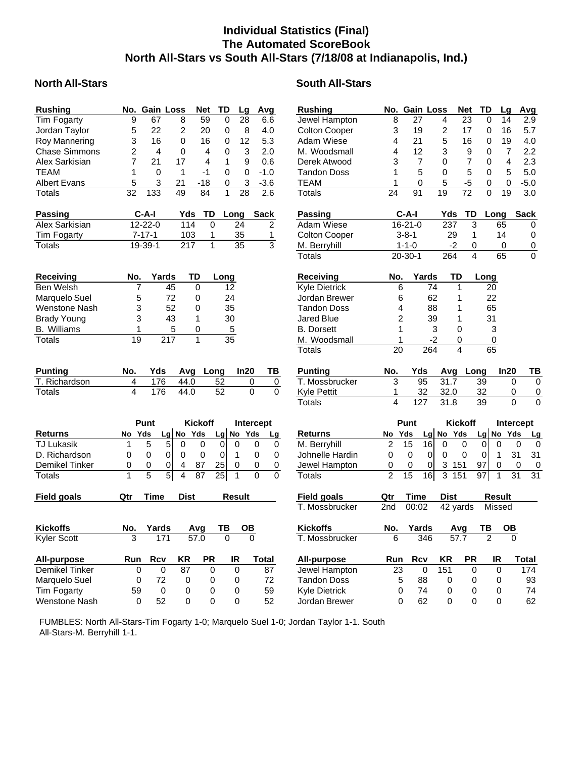# **Individual Statistics (Final) The Automated ScoreBook North All-Stars vs South All-Stars (7/18/08 at Indianapolis, Ind.)**

### **North All-Stars South All-Stars** South All-Stars

| <b>Rushing</b>                      |                         | No. Gain Loss       |                                            | Net                   | TD                    | Lg                     | Avg                     | <b>Rushing</b>       | No.                     | <b>Gain Loss</b> |                                          | Net             | <b>TD</b>       | Lg                 | Avg                        |
|-------------------------------------|-------------------------|---------------------|--------------------------------------------|-----------------------|-----------------------|------------------------|-------------------------|----------------------|-------------------------|------------------|------------------------------------------|-----------------|-----------------|--------------------|----------------------------|
| <b>Tim Fogarty</b>                  | $\overline{9}$          | 67                  | $\overline{8}$                             | 59                    | $\overline{0}$        | $\overline{28}$        | 6.6                     | Jewel Hampton        | 8                       | 27               | 4                                        | $\overline{23}$ | $\mathbf 0$     | 14                 | 2.9                        |
| Jordan Taylor                       | 5                       | 22                  | $\overline{c}$                             | 20                    | 0                     | 8                      | 4.0                     | <b>Colton Cooper</b> | 3                       | 19               | $\overline{c}$                           | 17              | $\mathbf 0$     | 16                 | 5.7                        |
| Roy Mannering                       | 3                       | 16                  | $\overline{0}$                             | 16                    | 0                     | 12                     | 5.3                     | Adam Wiese           | 4                       | 21               | 5                                        | 16              | $\Omega$        | 19                 | 4.0                        |
| <b>Chase Simmons</b>                | 2                       | $\overline{4}$      | 0                                          | 4                     | 0                     | 3                      | 2.0                     | M. Woodsmall         | 4                       | 12               | 3                                        | 9               | $\Omega$        | $\overline{7}$     | 2.2                        |
| Alex Sarkisian                      | 7                       | 21                  | 17                                         | 4                     | 1                     | 9                      | 0.6                     | Derek Atwood         | 3                       | $\overline{7}$   | $\Omega$                                 | 7               | $\Omega$        | 4                  | 2.3                        |
| TEAM                                | 1                       | $\Omega$            | 1                                          | $-1$                  | 0                     | $\Omega$               | $-1.0$                  | <b>Tandon Doss</b>   | 1                       | 5                | $\Omega$                                 | 5               | $\Omega$        | 5                  | 5.0                        |
| <b>Albert Evans</b>                 | 5                       | 3                   | 21                                         | -18                   | 0                     | 3                      | $-3.6$                  | <b>TEAM</b>          | 1                       | 0                | 5                                        | -5              | 0               | 0                  | $-5.0$                     |
| <b>Totals</b>                       | 32                      | 133                 | 49                                         | 84                    | $\mathbf{1}$          | 28                     | 2.6                     | <b>Totals</b>        | 24                      | 91               | $\overline{19}$                          | $\overline{72}$ | $\mathbf 0$     | 19                 | 3.0                        |
| <b>Passing</b>                      |                         | C-A-I               | Yds                                        | TD                    | Long                  |                        | <b>Sack</b>             | Passing              |                         | $C-A-I$          | Yds                                      | <b>TD</b>       |                 | Long               | <b>Sack</b>                |
| Alex Sarkisian                      |                         | 12-22-0             | 114                                        | $\Omega$              |                       | 24                     | $\overline{c}$          | Adam Wiese           |                         | $16 - 21 - 0$    | 237                                      | 3               |                 | 65                 | 0                          |
| Tim Fogarty                         |                         | 7-17-1              | 103                                        | 1                     |                       | 35                     | 1                       | <b>Colton Cooper</b> |                         | $3 - 8 - 1$      | 29                                       | 1               |                 | 14                 | 0                          |
| Totals                              |                         | 19-39-1             | $\overline{217}$                           | $\overline{1}$        |                       | $\overline{35}$        | $\overline{3}$          | M. Berryhill         |                         | $1 - 1 - 0$      |                                          | $-2$<br>0       |                 | 0                  | $\pmb{0}$                  |
|                                     |                         |                     |                                            |                       |                       |                        |                         | <b>Totals</b>        |                         | $20 - 30 - 1$    | $\frac{264}{ }$                          | $\overline{4}$  |                 | 65                 | $\overline{0}$             |
| <b>Receiving</b>                    | No.                     | Yards               |                                            | TD                    | Long                  |                        |                         | <b>Receiving</b>     | No.                     | Yards            |                                          | TD              | Long            |                    |                            |
| <b>Ben Welsh</b>                    | 7                       |                     | 45                                         | $\overline{0}$        | 12                    |                        |                         | <b>Kyle Dietrick</b> | 6                       |                  | 74                                       | 1               | 20              |                    |                            |
| Marquelo Suel                       | 5                       |                     | 72                                         | $\mathbf 0$           | 24                    |                        |                         | Jordan Brewer        | 6                       |                  | 62                                       | 1               | 22              |                    |                            |
| <b>Wenstone Nash</b>                | 3                       |                     | 52                                         | 0                     | 35                    |                        |                         | <b>Tandon Doss</b>   | 4                       |                  | 88                                       | 1               | 65              |                    |                            |
| <b>Brady Young</b>                  | 3                       |                     | 43                                         | 1                     | 30                    |                        |                         | <b>Jared Blue</b>    | $\overline{2}$          |                  | 39                                       | 1               | 31              |                    |                            |
| <b>B.</b> Williams                  | 1                       |                     | 5                                          | 0                     | $\sqrt{5}$            |                        |                         | <b>B.</b> Dorsett    | 1                       |                  | 3                                        | 0               | 3               |                    |                            |
| <b>Totals</b>                       | 19                      |                     | 217                                        | $\mathbf{1}$          | 35                    |                        |                         | M. Woodsmall         | 1                       |                  | -2                                       | 0               |                 | 0                  |                            |
|                                     |                         |                     |                                            |                       |                       |                        |                         | <b>Totals</b>        | 20                      |                  | 264                                      | $\overline{4}$  | 65              |                    |                            |
| <b>Punting</b>                      | No.                     | Yds                 | Avq                                        |                       | Long                  | In20                   | ΤВ                      | <b>Punting</b>       | No.                     | Yds              | Avg                                      | Long            |                 | In20               | ТВ                         |
| T. Richardson                       | 4                       | 176                 | 44.0                                       |                       | 52                    |                        | 0<br>0                  | T. Mossbrucker       | 3                       | 95               | 31.7                                     |                 | 39              | 0                  | 0                          |
| Totals                              | $\overline{\mathbf{4}}$ | 176                 | 44.0                                       |                       | 52                    |                        | $\mathbf 0$<br>$\Omega$ | Kyle Pettit          | 1                       | 32               | 32.0                                     |                 | 32              | 0                  | $\boldsymbol{0}$           |
|                                     |                         |                     |                                            |                       |                       |                        |                         | <b>Totals</b>        | $\overline{\mathbf{A}}$ | 127              | 31.8                                     |                 | $\overline{39}$ | $\Omega$           | $\overline{0}$             |
|                                     |                         | Punt                |                                            | <b>Kickoff</b>        |                       |                        |                         |                      |                         | Punt             |                                          | <b>Kickoff</b>  |                 |                    |                            |
|                                     |                         |                     |                                            |                       |                       |                        | Intercept               |                      |                         |                  |                                          |                 |                 |                    | Intercept                  |
| <b>Returns</b><br><b>TJ Lukasik</b> | No<br>1                 | Yds<br>5            | Lg No Yds<br>$\overline{5}$<br>0           | $\mathbf 0$           | Lg                    | No Yds<br>$\mathbf{0}$ | <u>Lg</u><br>0          | <b>Returns</b>       | No<br>$\overline{c}$    | Yds<br>15        | Lg No Yds<br>$\overline{16}$<br>$\Omega$ | $\mathbf 0$     | Lg<br>0         | No Yds<br>$\Omega$ | <u>Lg</u>                  |
| D. Richardson                       | 0                       | 0                   | $\overline{0}$<br>0                        | $\mathbf 0$           | 0<br>$\mathbf 0$      |                        | 0<br>0<br>$\mathbf 0$   | M. Berryhill         | 0                       | $\mathbf 0$      | $\overline{0}$                           | $\mathbf 0$     | $\Omega$        |                    | 0<br>0<br>31<br>31         |
|                                     |                         |                     |                                            |                       |                       | 1<br>$\Omega$          | 0<br>$\Omega$           | Johnelle Hardin      |                         | 0                | 0<br>0<br>3                              |                 | 97              | 1<br>$\Omega$      | $\Omega$                   |
| Demikel Tinker                      | 0<br>1                  | 0<br>$\overline{5}$ | 0<br>4<br>$\overline{5}$<br>$\overline{4}$ | 87<br>$\overline{87}$ | 25<br>$\overline{25}$ | 1                      | $\Omega$<br>$\Omega$    | Jewel Hampton        | 0<br>$\overline{2}$     | $\overline{15}$  | 16<br>3                                  | 151<br>151      | $\overline{97}$ | 1                  | 0<br>31<br>$\overline{31}$ |
| Totals                              |                         |                     |                                            |                       |                       |                        |                         | Totals               |                         |                  |                                          |                 |                 |                    |                            |
| <b>Field goals</b>                  | Qtr                     | <b>Time</b>         | <b>Dist</b>                                |                       |                       | <b>Result</b>          |                         | <b>Field goals</b>   | Qtr                     | Time             | <b>Dist</b>                              |                 |                 | <b>Result</b>      |                            |
|                                     |                         |                     |                                            |                       |                       |                        |                         | T. Mossbrucker       | 2nd                     | 00:02            |                                          | 42 yards        |                 | Missed             |                            |
| <b>Kickoffs</b>                     | No.                     | Yards               |                                            | Avg                   | ТВ                    | OВ                     |                         | <b>Kickoffs</b>      | No.                     | Yards            |                                          | Avg             | ТВ              | OB                 |                            |
| <b>Kyler Scott</b>                  | 3                       | 171                 |                                            | 57.0                  | $\Omega$              |                        | $\Omega$                | T. Mossbrucker       | 6                       | 346              |                                          | 57.7            | $\overline{2}$  | $\Omega$           |                            |
| <b>All-purpose</b>                  | Run                     | <b>Rcv</b>          | ΚR                                         | <b>PR</b>             |                       | IR                     | Total                   | <b>All-purpose</b>   | Run                     | <b>Rcv</b>       | KR                                       | PR              |                 | IR                 | Total                      |
| <b>Demikel Tinker</b>               | 0                       | $\mathbf 0$         | 87                                         | $\Omega$              |                       | $\Omega$               | 87                      | Jewel Hampton        | $\overline{23}$         | $\mathbf 0$      | 151                                      | 0               |                 | $\mathbf 0$        | 174                        |
| Marquelo Suel                       | 0                       | 72                  | 0                                          | 0                     |                       | 0                      | 72                      | <b>Tandon Doss</b>   | 5                       | 88               | 0                                        | 0               |                 | 0                  | 93                         |
| Tim Fogarty                         | 59                      | $\overline{0}$      | 0                                          | $\mathbf 0$           |                       | 0                      | 59                      | <b>Kyle Dietrick</b> | 0                       | 74               | 0                                        | 0               |                 | 0                  | 74                         |
|                                     |                         |                     |                                            |                       |                       |                        |                         |                      |                         |                  |                                          |                 |                 |                    |                            |

 FUMBLES: North All-Stars-Tim Fogarty 1-0; Marquelo Suel 1-0; Jordan Taylor 1-1. South All-Stars-M. Berryhill 1-1.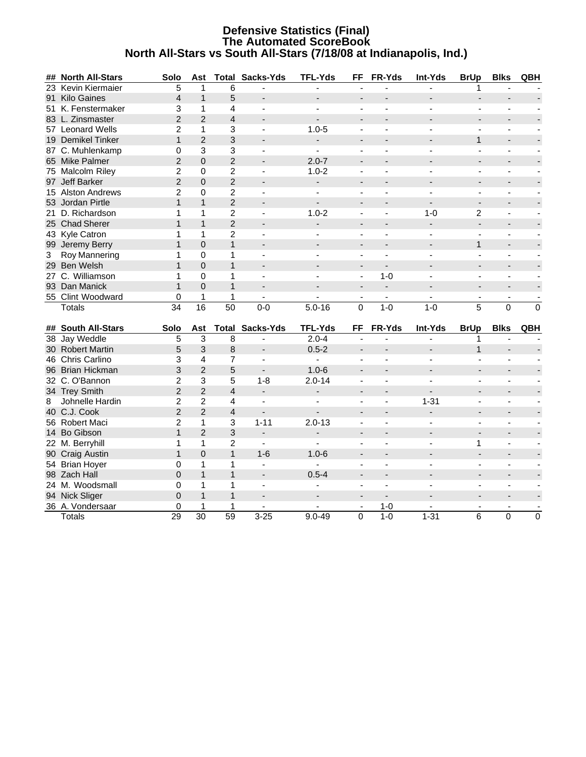#### **Defensive Statistics (Final) The Automated ScoreBook North All-Stars vs South All-Stars (7/18/08 at Indianapolis, Ind.)**

|              | ## North All-Stars | Solo            | Ast             |                 | <b>Total Sacks-Yds</b>   | <b>TFL-Yds</b>           | FF                       | FR-Yds                   | Int-Yds                  | <b>BrUp</b>                  | <b>Blks</b>              | QBH                      |
|--------------|--------------------|-----------------|-----------------|-----------------|--------------------------|--------------------------|--------------------------|--------------------------|--------------------------|------------------------------|--------------------------|--------------------------|
|              | 23 Kevin Kiermaier | $\overline{5}$  | 1               | 6               |                          |                          |                          |                          |                          |                              |                          |                          |
|              | 91 Kilo Gaines     | 4               | $\mathbf{1}$    | 5               |                          |                          |                          |                          |                          |                              |                          |                          |
|              | 51 K. Fenstermaker | 3               | 1               | 4               | $\blacksquare$           | $\blacksquare$           |                          |                          |                          |                              |                          |                          |
|              | 83 L. Zinsmaster   | $\overline{2}$  | $\overline{2}$  | $\overline{4}$  | $\blacksquare$           | $\blacksquare$           | $\blacksquare$           |                          |                          | $\overline{a}$               | $\overline{a}$           |                          |
|              | 57 Leonard Wells   | $\overline{2}$  | $\mathbf{1}$    | 3               | $\sim$                   | $1.0 - 5$                |                          |                          |                          |                              |                          |                          |
|              | 19 Demikel Tinker  | $\mathbf{1}$    | $\overline{2}$  | 3               | $\overline{\phantom{a}}$ | $\overline{\phantom{0}}$ | $\overline{\phantom{a}}$ |                          |                          | $\mathbf{1}$                 |                          |                          |
|              | 87 C. Muhlenkamp   | 0               | 3               | 3               | $\sim$                   | $\blacksquare$           | $\blacksquare$           |                          |                          | $\blacksquare$               |                          |                          |
|              | 65 Mike Palmer     | $\overline{2}$  | $\mathbf 0$     | $\overline{2}$  | $\blacksquare$           | $2.0 - 7$                | $\overline{a}$           | $\overline{\phantom{a}}$ |                          | $\blacksquare$               |                          |                          |
|              | 75 Malcolm Riley   | 2               | $\overline{0}$  | $\overline{c}$  |                          | $1.0 - 2$                | ÷,                       |                          |                          | ÷,                           |                          |                          |
|              | 97 Jeff Barker     | $\overline{2}$  | $\Omega$        | $\overline{2}$  |                          | $\overline{\phantom{0}}$ | $\blacksquare$           |                          |                          |                              |                          |                          |
|              | 15 Alston Andrews  | $\overline{2}$  | $\mathbf 0$     | 2               | ÷,                       | ÷,                       | ÷,                       |                          |                          | $\blacksquare$               |                          |                          |
|              | 53 Jordan Pirtle   | $\mathbf{1}$    | $\mathbf{1}$    | $\overline{c}$  |                          |                          | $\blacksquare$           |                          |                          |                              |                          |                          |
|              | 21 D. Richardson   | 1               | $\mathbf{1}$    | $\overline{c}$  | $\blacksquare$           | $1.0 - 2$                | $\blacksquare$           | ÷,                       | $1 - 0$                  | $\overline{2}$               | L,                       |                          |
|              | 25 Chad Sherer     | $\mathbf{1}$    | $\mathbf{1}$    | $\overline{2}$  |                          |                          |                          |                          | $\overline{\phantom{a}}$ | $\overline{\phantom{a}}$     |                          |                          |
|              | 43 Kyle Catron     | 1               | $\mathbf{1}$    | $\overline{2}$  | $\blacksquare$           | $\blacksquare$           | $\blacksquare$           | $\blacksquare$           | $\blacksquare$           | $\blacksquare$               | $\blacksquare$           |                          |
|              | 99 Jeremy Berry    | $\mathbf{1}$    | $\overline{0}$  | $\mathbf{1}$    | $\overline{\phantom{a}}$ |                          | $\blacksquare$           |                          |                          | $\mathbf{1}$                 | $\blacksquare$           |                          |
| $\mathbf{3}$ | Roy Mannering      | 1               | $\mathbf 0$     | $\mathbf 1$     | $\blacksquare$           | $\blacksquare$           | $\blacksquare$           |                          | $\overline{a}$           | $\blacksquare$               | $\blacksquare$           |                          |
|              | 29 Ben Welsh       | $\mathbf{1}$    | $\Omega$        | $\mathbf{1}$    | $\blacksquare$           |                          | $\blacksquare$           |                          |                          | $\blacksquare$               | $\blacksquare$           |                          |
|              | 27 C. Williamson   | 1               | $\mathbf 0$     | $\mathbf{1}$    | $\blacksquare$           | $\blacksquare$           | $\blacksquare$           | $1 - 0$                  | $\blacksquare$           | $\blacksquare$               | $\blacksquare$           | $\blacksquare$           |
|              | 93 Dan Manick      | $\mathbf{1}$    | $\Omega$        | $\mathbf{1}$    | $\blacksquare$           | $\overline{a}$           | $\blacksquare$           | $\blacksquare$           | $\overline{a}$           | $\blacksquare$               | $\overline{\phantom{a}}$ |                          |
|              | 55 Clint Woodward  | 0               | 1               | 1               | $\blacksquare$           | L,                       | $\overline{\phantom{a}}$ | $\overline{\phantom{a}}$ | $\blacksquare$           | $\overline{\phantom{a}}$     | $\overline{\phantom{a}}$ | $\blacksquare$           |
|              | <b>Totals</b>      | $\overline{34}$ | 16              | $\overline{50}$ | $0 - 0$                  | $5.0 - 16$               | $\mathbf 0$              | $1 - 0$                  | $1 - 0$                  | 5                            | 0                        | $\overline{0}$           |
|              |                    |                 |                 |                 |                          |                          |                          |                          |                          |                              |                          |                          |
|              | ## South All-Stars | Solo            | Ast             | <b>Total</b>    | Sacks-Yds                | <b>TFL-Yds</b>           | FF                       | FR-Yds                   | Int-Yds                  | <b>BrUp</b>                  | <b>Blks</b>              | QBH                      |
|              | 38 Jay Weddle      | 5               | 3               | 8               | $\blacksquare$           | $2.0 - 4$                | ÷,                       |                          |                          | 1                            |                          |                          |
|              | 30 Robert Martin   | 5               | 3               | 8               | $\blacksquare$           | $0.5 - 2$                | $\overline{\phantom{a}}$ |                          |                          | $\mathbf{1}$                 |                          |                          |
|              | 46 Chris Carlino   | 3               | 4               | $\overline{7}$  | $\blacksquare$           | ÷,                       | ÷,                       |                          |                          |                              |                          |                          |
|              | 96 Brian Hickman   | 3               | $\overline{2}$  | 5               | $\blacksquare$           | $1.0 - 6$                | $\blacksquare$           |                          |                          | $\overline{\phantom{a}}$     | $\blacksquare$           |                          |
|              | 32 C. O'Bannon     | $\overline{c}$  | 3               | 5               | $1 - 8$                  | $2.0 - 14$               | $\blacksquare$           | $\overline{a}$           | $\overline{a}$           | $\blacksquare$               | $\blacksquare$           |                          |
|              | 34 Trey Smith      | $\overline{2}$  | $\overline{2}$  | $\overline{4}$  | $\blacksquare$           | $\overline{\phantom{a}}$ | $\blacksquare$           | $\overline{\phantom{a}}$ | $\overline{a}$           | $\overline{a}$               |                          |                          |
| 8            | Johnelle Hardin    | $\overline{2}$  | $\overline{2}$  | 4               | $\blacksquare$           |                          |                          |                          | $1 - 31$                 | ÷,                           |                          |                          |
|              | 40 C.J. Cook       | $\overline{2}$  | $\overline{2}$  | $\overline{4}$  |                          |                          | $\overline{\phantom{0}}$ |                          | $\blacksquare$           | $\blacksquare$               |                          |                          |
|              | 56 Robert Maci     | $\overline{c}$  | $\mathbf{1}$    | 3               | $1 - 11$                 | $2.0 - 13$               | $\overline{a}$           |                          |                          | $\blacksquare$               |                          |                          |
|              | 14 Bo Gibson       | $\mathbf{1}$    | $\overline{2}$  | 3               | $\overline{\phantom{a}}$ | $\blacksquare$           | $\overline{\phantom{a}}$ |                          | $\overline{\phantom{a}}$ | $\blacksquare$               | $\overline{\phantom{a}}$ |                          |
|              | 22 M. Berryhill    | 1               | $\mathbf{1}$    | $\overline{2}$  | $\mathbf{r}$             |                          |                          |                          |                          | 1                            | $\blacksquare$           |                          |
|              | 90 Craig Austin    | $\mathbf{1}$    | $\mathbf 0$     | $\mathbf{1}$    | $1 - 6$                  | $1.0 - 6$                | $\overline{\phantom{a}}$ |                          |                          | $\overline{\phantom{a}}$     |                          |                          |
|              | 54 Brian Hoyer     | $\mathbf 0$     | $\mathbf{1}$    | $\mathbf{1}$    | $\overline{a}$           | $\overline{a}$           | $\blacksquare$           | $\blacksquare$           | $\blacksquare$           | $\blacksquare$               | $\blacksquare$           |                          |
|              | 98 Zach Hall       | $\overline{0}$  | $\mathbf{1}$    | $\mathbf{1}$    | $\overline{\phantom{a}}$ | $0.5 - 4$                | $\blacksquare$           |                          |                          | $\qquad \qquad \blacksquare$ |                          |                          |
|              | 24 M. Woodsmall    | 0               | $\mathbf{1}$    | $\mathbf 1$     | $\mathbf{r}$             |                          | $\blacksquare$           | $\overline{a}$           | $\overline{a}$           | $\blacksquare$               | $\blacksquare$           | $\blacksquare$           |
|              | 94 Nick Sliger     | 0               | $\mathbf{1}$    | $\mathbf{1}$    | $\overline{\phantom{a}}$ |                          |                          |                          |                          |                              |                          | $\overline{\phantom{a}}$ |
|              | 36 A. Vondersaar   | 0               | 1               | $\mathbf{1}$    | $\blacksquare$           |                          | $\blacksquare$           | $1 - 0$                  |                          | $\blacksquare$               | $\blacksquare$           | $\blacksquare$           |
|              | Totals             | $\overline{29}$ | $\overline{30}$ | $\overline{59}$ | $3 - 25$                 | $9.0 - 49$               | 0                        | $1-0$                    | $1 - 31$                 | 6                            | 0                        | $\mathsf 0$              |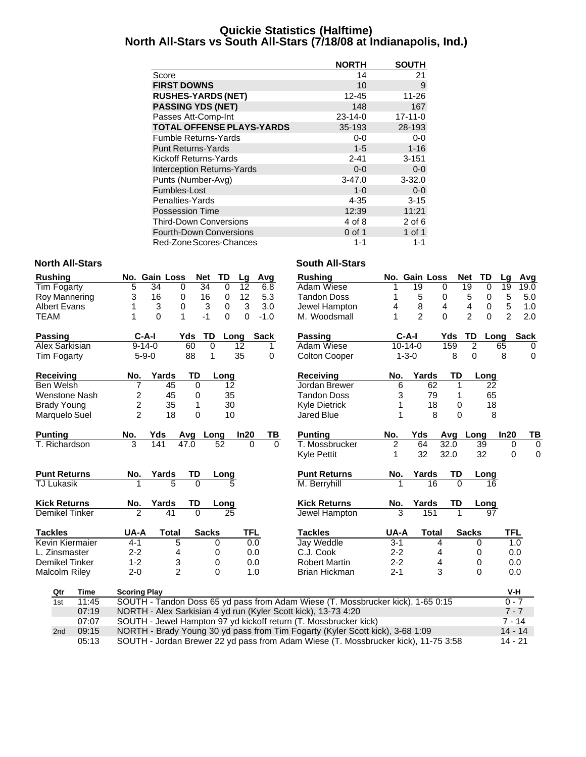### **Quickie Statistics (Halftime) North All-Stars vs South All-Stars (7/18/08 at Indianapolis, Ind.)**

|                                   | <b>NORTH</b>  | <b>SOUTH</b>  |
|-----------------------------------|---------------|---------------|
| Score                             | 14            | 21            |
| <b>FIRST DOWNS</b>                | 10            | 9             |
| <b>RUSHES-YARDS (NET)</b>         | 12-45         | $11 - 26$     |
| <b>PASSING YDS (NET)</b>          | 148           | 167           |
| Passes Att-Comp-Int               | $23 - 14 - 0$ | $17 - 11 - 0$ |
| <b>TOTAL OFFENSE PLAYS-YARDS</b>  | 35-193        | 28-193        |
| Fumble Returns-Yards              | 0-0           | 0-0           |
| <b>Punt Returns-Yards</b>         | $1 - 5$       | $1 - 16$      |
| Kickoff Returns-Yards             | $2 - 41$      | $3 - 151$     |
| <b>Interception Returns-Yards</b> | $0 - 0$       | $0 - 0$       |
| Punts (Number-Avg)                | $3 - 47.0$    | $3 - 32.0$    |
| Fumbles-Lost                      | $1 - 0$       | $0-0$         |
| Penalties-Yards                   | 4-35          | $3 - 15$      |
| <b>Possession Time</b>            | 12:39         | 11:21         |
| <b>Third-Down Conversions</b>     | 4 of 8        | $2$ of 6      |
| <b>Fourth-Down Conversions</b>    | 0 of 1        | 1 of 1        |
| Red-Zone Scores-Chances           | 1-1           | 1-1           |

#### **North All-Stars North All-Stars South All-Stars**

| <b>Rushing</b>        |                     | No. Gain Loss                                                  | <b>Net</b>      | TD              | Lg              | Avg         | <b>Rushing</b>                                                                  |                | No. Gain Loss   |              | <b>Net</b><br>TD            | Lq             | Avg            |
|-----------------------|---------------------|----------------------------------------------------------------|-----------------|-----------------|-----------------|-------------|---------------------------------------------------------------------------------|----------------|-----------------|--------------|-----------------------------|----------------|----------------|
| Tim Fogarty           | 5                   | 34<br>0                                                        | $\overline{34}$ | $\Omega$        | $\overline{12}$ | 6.8         | Adam Wiese                                                                      |                | 19              | $\mathbf{0}$ | $\overline{19}$<br>$\Omega$ | 19             | 19.0           |
| Roy Mannering         | 3                   | 16<br>0                                                        | 16              | 0               | 12              | 5.3         | <b>Tandon Doss</b>                                                              | 1              | 5               | 0            | 5<br>0                      | 5              | 5.0            |
| <b>Albert Evans</b>   | 1                   | 3<br>0                                                         | 3               | 0               | 3               | 3.0         | Jewel Hampton                                                                   | 4              | 8               | 4            | 4<br>0                      | 5              | 1.0            |
| <b>TEAM</b>           |                     | 0<br>1                                                         | $-1$            | $\Omega$        | $\Omega$        | $-1.0$      | M. Woodsmall                                                                    | 1              | $\overline{c}$  | $\Omega$     | $\overline{2}$<br>$\Omega$  | $\overline{2}$ | 2.0            |
| Passing               | $C-A-I$             |                                                                | Yds             | TD<br>Long      |                 | <b>Sack</b> | <b>Passing</b>                                                                  | $C-A-I$        |                 | Yds          | TD<br>Long                  |                | <b>Sack</b>    |
| <b>Alex Sarkisian</b> | $9 - 14 - 0$        |                                                                | 60              | 0               | 12              | 1.          | Adam Wiese                                                                      | $10 - 14 - 0$  |                 | 159          | $\overline{2}$              | 65             | 0              |
| Tim Fogarty           | $5 - 9 - 0$         |                                                                | 88              | 1               | 35              | 0           | <b>Colton Cooper</b>                                                            | $1 - 3 - 0$    |                 | 8            | 0                           | 8              | $\mathbf 0$    |
| Receiving             | No.                 | Yards                                                          | TD              | Long            |                 |             | Receiving                                                                       | No.            | Yards           | <b>TD</b>    | Long                        |                |                |
| <b>Ben Welsh</b>      | 7                   | 45                                                             | $\mathbf 0$     | 12              |                 |             | Jordan Brewer                                                                   | 6              | 62              | 1            | 22                          |                |                |
| <b>Wenstone Nash</b>  | 2                   | 45                                                             | 0               | 35              |                 |             | <b>Tandon Doss</b>                                                              | 3              | 79              | 1            | 65                          |                |                |
| <b>Brady Young</b>    | 2                   | 35                                                             | 1               | 30              |                 |             | <b>Kyle Dietrick</b>                                                            | 1              | 18              | 0            | 18                          |                |                |
| Marquelo Suel         | $\overline{2}$      | 18                                                             | 0               | 10              |                 |             | <b>Jared Blue</b>                                                               | 1              | 8               | 0            | 8                           |                |                |
| <b>Punting</b>        | No.                 | Yds                                                            | Avg Long        |                 | In20            | TВ          | <b>Punting</b>                                                                  | No.            | Yds             | Avg Long     |                             | In20           | TB             |
| T. Richardson         | 3                   | 141                                                            | 47.0            | 52              | $\Omega$        | $\Omega$    | T. Mossbrucker                                                                  | $\overline{2}$ | 64              | 32.0         | 39                          | 0              | $\overline{0}$ |
|                       |                     |                                                                |                 |                 |                 |             | Kyle Pettit                                                                     | 1              | 32              | 32.0         | 32                          | $\mathbf 0$    | $\mathbf 0$    |
| <b>Punt Returns</b>   | No.                 | Yards                                                          | TD              | Long            |                 |             | <b>Punt Returns</b>                                                             | No.            | Yards           | TD           | Long                        |                |                |
| <b>TJ Lukasik</b>     |                     | 5                                                              | $\Omega$        |                 |                 |             | M. Berryhill                                                                    |                | $\overline{16}$ | $\Omega$     | 16                          |                |                |
| <b>Kick Returns</b>   | No.                 | Yards                                                          | TD              | Long            |                 |             | <b>Kick Returns</b>                                                             | No.            | Yards           | <b>TD</b>    | Long                        |                |                |
| <b>Demikel Tinker</b> | ヮ                   | $\overline{41}$                                                | $\overline{0}$  | $\overline{25}$ |                 |             | <b>Jewel Hampton</b>                                                            | 3              | 151             |              | $\overline{97}$             |                |                |
| <b>Tackles</b>        | UA-A                | <b>Total</b>                                                   | <b>Sacks</b>    |                 | TFL             |             | <b>Tackles</b>                                                                  | UA-A           | <b>Total</b>    |              | <b>Sacks</b>                | TFL            |                |
| Kevin Kiermaier       | $4 - 1$             | $\overline{5}$                                                 |                 | 0               | 0.0             |             | Jay Weddle                                                                      | $3 - 1$        |                 | 4            | 0                           | 1.0            |                |
| L. Zinsmaster         | $2 - 2$             | 4                                                              |                 | 0               | 0.0             |             | C.J. Cook                                                                       | $2 - 2$        |                 | 4            | 0                           | 0.0            |                |
| Demikel Tinker        | $1 - 2$             | 3                                                              |                 | 0               | 0.0             |             | <b>Robert Martin</b>                                                            | $2 - 2$        |                 | 4            | 0                           | 0.0            |                |
| <b>Malcolm Riley</b>  | $2 - 0$             | $\overline{2}$                                                 |                 | $\Omega$        | 1.0             |             | Brian Hickman                                                                   | $2 - 1$        |                 | 3            | $\Omega$                    | 0.0            |                |
| Time<br>Qtr           | <b>Scoring Play</b> |                                                                |                 |                 |                 |             |                                                                                 |                |                 |              |                             | V-H            |                |
| 11:45<br>1st          |                     |                                                                |                 |                 |                 |             | SOUTH - Tandon Doss 65 yd pass from Adam Wiese (T. Mossbrucker kick), 1-65 0:15 |                |                 |              |                             | $0 - 7$        |                |
| 07:19                 |                     | NORTH - Alex Sarkisian 4 yd run (Kyler Scott kick), 13-73 4:20 |                 |                 |                 |             |                                                                                 |                |                 |              |                             | $7 - 7$        |                |
| 07:07                 |                     |                                                                |                 |                 |                 |             | SOUTH - Jewel Hampton 97 yd kickoff return (T. Mossbrucker kick)                |                |                 |              |                             | $7 - 14$       |                |
| 09:15<br>2nd          |                     |                                                                |                 |                 |                 |             | NORTH - Brady Young 30 yd pass from Tim Fogarty (Kyler Scott kick), 3-68 1:09   |                |                 |              |                             | $14 - 14$      |                |
|                       |                     |                                                                |                 |                 |                 |             |                                                                                 |                |                 |              |                             |                |                |

05:13 SOUTH - Jordan Brewer 22 yd pass from Adam Wiese (T. Mossbrucker kick), 11-75 3:58 14 - 21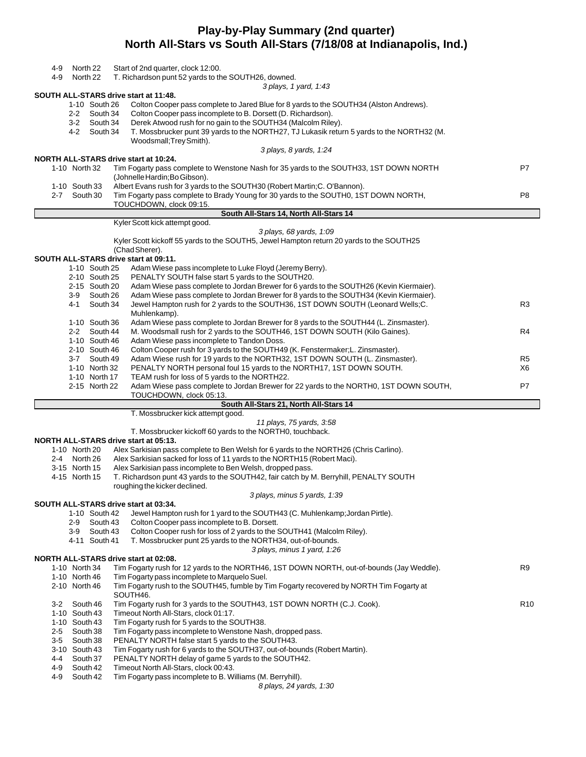## **Play-by-Play Summary (2nd quarter) North All-Stars vs South All-Stars (7/18/08 at Indianapolis, Ind.)**

| 4-9     | North 22                      |          | Start of 2nd quarter, clock 12:00.                                                                                                                             |                 |
|---------|-------------------------------|----------|----------------------------------------------------------------------------------------------------------------------------------------------------------------|-----------------|
| 4-9     | North 22                      |          | T. Richardson punt 52 yards to the SOUTH26, downed.                                                                                                            |                 |
|         |                               |          | 3 plays, 1 yard, 1:43                                                                                                                                          |                 |
|         |                               |          | SOUTH ALL-STARS drive start at 11:48.                                                                                                                          |                 |
|         | 1-10 South 26<br>2-2 South 34 |          | Colton Cooper pass complete to Jared Blue for 8 yards to the SOUTH34 (Alston Andrews).<br>Colton Cooper pass incomplete to B. Dorsett (D. Richardson).         |                 |
|         | 3-2 South 34                  |          | Derek Atwood rush for no gain to the SOUTH34 (Malcolm Riley).                                                                                                  |                 |
|         | 4-2 South 34                  |          | T. Mossbrucker punt 39 yards to the NORTH27, TJ Lukasik return 5 yards to the NORTH32 (M.                                                                      |                 |
|         |                               |          | Woodsmall; Trey Smith).                                                                                                                                        |                 |
|         |                               |          | 3 plays, 8 yards, 1:24                                                                                                                                         |                 |
|         |                               |          | NORTH ALL-STARS drive start at 10:24.                                                                                                                          |                 |
|         | 1-10 North 32                 |          | Tim Fogarty pass complete to Wenstone Nash for 35 yards to the SOUTH33, 1ST DOWN NORTH                                                                         | P7              |
|         |                               |          | (Johnelle Hardin; Bo Gibson).                                                                                                                                  |                 |
|         | 1-10 South 33                 |          | Albert Evans rush for 3 yards to the SOUTH30 (Robert Martin; C. O'Bannon).                                                                                     |                 |
|         | 2-7 South 30                  |          | Tim Fogarty pass complete to Brady Young for 30 yards to the SOUTH0, 1ST DOWN NORTH,                                                                           | P8              |
|         |                               |          | TOUCHDOWN, clock 09:15.                                                                                                                                        |                 |
|         |                               |          | South All-Stars 14, North All-Stars 14                                                                                                                         |                 |
|         |                               |          | Kyler Scott kick attempt good.<br>3 plays, 68 yards, 1:09                                                                                                      |                 |
|         |                               |          | Kyler Scott kickoff 55 yards to the SOUTH5, Jewel Hampton return 20 yards to the SOUTH25                                                                       |                 |
|         |                               |          | (Chad Sherer).                                                                                                                                                 |                 |
|         |                               |          | SOUTH ALL-STARS drive start at 09:11.                                                                                                                          |                 |
|         | 1-10 South 25                 |          | Adam Wiese pass incomplete to Luke Floyd (Jeremy Berry).                                                                                                       |                 |
|         | 2-10 South 25                 |          | PENALTY SOUTH false start 5 yards to the SOUTH20.                                                                                                              |                 |
|         | 2-15 South 20                 |          | Adam Wiese pass complete to Jordan Brewer for 6 yards to the SOUTH26 (Kevin Kiermaier).                                                                        |                 |
|         | 3-9                           | South 26 | Adam Wiese pass complete to Jordan Brewer for 8 yards to the SOUTH34 (Kevin Kiermaier).                                                                        |                 |
|         | 4-1                           | South 34 | Jewel Hampton rush for 2 yards to the SOUTH36, 1ST DOWN SOUTH (Leonard Wells; C.                                                                               | R <sub>3</sub>  |
|         |                               |          | Muhlenkamp).                                                                                                                                                   |                 |
|         | 1-10 South 36                 |          | Adam Wiese pass complete to Jordan Brewer for 8 yards to the SOUTH44 (L. Zinsmaster).                                                                          |                 |
|         | 2-2 South 44                  |          | M. Woodsmall rush for 2 yards to the SOUTH46, 1ST DOWN SOUTH (Kilo Gaines).                                                                                    | R4              |
|         | 1-10 South 46                 |          | Adam Wiese pass incomplete to Tandon Doss.                                                                                                                     |                 |
|         | 2-10 South 46<br>3-7 South 49 |          | Colton Cooper rush for 3 yards to the SOUTH49 (K. Fenstermaker;L. Zinsmaster).<br>Adam Wiese rush for 19 yards to the NORTH32, 1ST DOWN SOUTH (L. Zinsmaster). | R <sub>5</sub>  |
|         | 1-10 North 32                 |          | PENALTY NORTH personal foul 15 yards to the NORTH17, 1ST DOWN SOUTH.                                                                                           | X6              |
|         | 1-10 North 17                 |          | TEAM rush for loss of 5 yards to the NORTH22.                                                                                                                  |                 |
|         | 2-15 North 22                 |          | Adam Wiese pass complete to Jordan Brewer for 22 yards to the NORTH0, 1ST DOWN SOUTH,                                                                          | P7              |
|         |                               |          |                                                                                                                                                                |                 |
|         |                               |          | TOUCHDOWN, clock 05:13.                                                                                                                                        |                 |
|         |                               |          | South All-Stars 21, North All-Stars 14                                                                                                                         |                 |
|         |                               |          | T. Mossbrucker kick attempt good.                                                                                                                              |                 |
|         |                               |          | 11 plays, 75 yards, 3:58                                                                                                                                       |                 |
|         |                               |          | T. Mossbrucker kickoff 60 yards to the NORTH0, touchback.                                                                                                      |                 |
|         |                               |          | <b>NORTH ALL-STARS drive start at 05:13.</b>                                                                                                                   |                 |
|         | 1-10 North 20                 |          | Alex Sarkisian pass complete to Ben Welsh for 6 yards to the NORTH26 (Chris Carlino).                                                                          |                 |
|         | 2-4 North 26                  |          | Alex Sarkisian sacked for loss of 11 yards to the NORTH15 (Robert Maci).                                                                                       |                 |
|         | 3-15 North 15                 |          | Alex Sarkisian pass incomplete to Ben Welsh, dropped pass.                                                                                                     |                 |
|         | 4-15 North 15                 |          | T. Richardson punt 43 yards to the SOUTH42, fair catch by M. Berryhill, PENALTY SOUTH                                                                          |                 |
|         |                               |          | roughing the kicker declined.                                                                                                                                  |                 |
|         |                               |          | 3 plays, minus 5 yards, 1:39<br>SOUTH ALL-STARS drive start at 03:34.                                                                                          |                 |
|         | 1-10 South 42                 |          | Jewel Hampton rush for 1 yard to the SOUTH43 (C. Muhlenkamp; Jordan Pirtle).                                                                                   |                 |
|         | 2-9                           | South 43 | Colton Cooper pass incomplete to B. Dorsett.                                                                                                                   |                 |
|         | 3-9                           | South 43 | Colton Cooper rush for loss of 2 yards to the SOUTH41 (Malcolm Riley).                                                                                         |                 |
|         | 4-11 South 41                 |          | T. Mossbrucker punt 25 yards to the NORTH34, out-of-bounds.                                                                                                    |                 |
|         |                               |          | 3 plays, minus 1 yard, 1:26                                                                                                                                    |                 |
|         |                               |          | NORTH ALL-STARS drive start at 02:08.                                                                                                                          |                 |
|         | 1-10 North 34                 |          | Tim Fogarty rush for 12 yards to the NORTH46, 1ST DOWN NORTH, out-of-bounds (Jay Weddle).                                                                      | R <sub>9</sub>  |
|         | 1-10 North 46                 |          | Tim Fogarty pass incomplete to Marquelo Suel.                                                                                                                  |                 |
|         | 2-10 North 46                 |          | Tim Fogarty rush to the SOUTH45, fumble by Tim Fogarty recovered by NORTH Tim Fogarty at                                                                       |                 |
|         |                               |          | SOUTH46.                                                                                                                                                       |                 |
| $3-2$   | South 46                      |          | Tim Fogarty rush for 3 yards to the SOUTH43, 1ST DOWN NORTH (C.J. Cook).                                                                                       | R <sub>10</sub> |
|         | 1-10 South 43                 |          | Timeout North All-Stars, clock 01:17.                                                                                                                          |                 |
| 2-5     | 1-10 South 43<br>South 38     |          | Tim Fogarty rush for 5 yards to the SOUTH38.<br>Tim Fogarty pass incomplete to Wenstone Nash, dropped pass.                                                    |                 |
| $3 - 5$ | South 38                      |          | PENALTY NORTH false start 5 yards to the SOUTH43.                                                                                                              |                 |
|         | 3-10 South 43                 |          | Tim Fogarty rush for 6 yards to the SOUTH37, out-of-bounds (Robert Martin).                                                                                    |                 |
| 4-4     | South 37                      |          | PENALTY NORTH delay of game 5 yards to the SOUTH42.                                                                                                            |                 |
| 4-9     | South 42                      |          | Timeout North All-Stars, clock 00:43.                                                                                                                          |                 |
| 4-9     | South 42                      |          | Tim Fogarty pass incomplete to B. Williams (M. Berryhill).<br>8 plays, 24 yards, 1:30                                                                          |                 |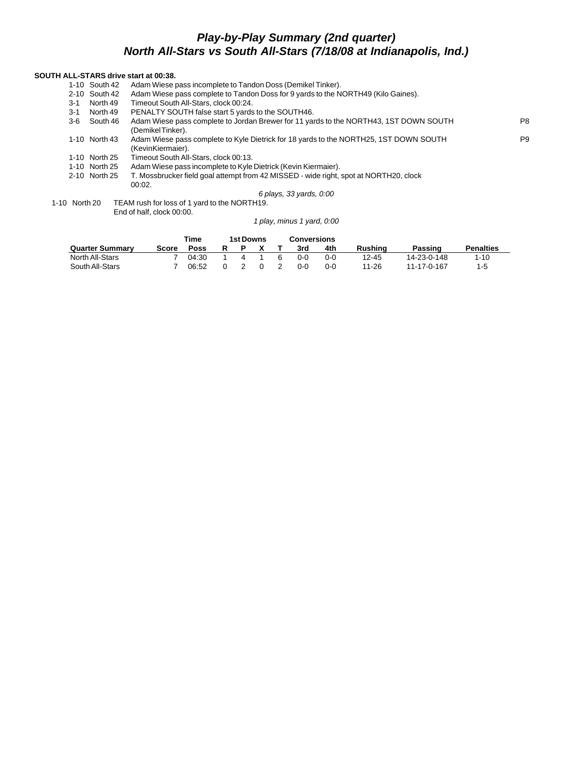# *Play-by-Play Summary (2nd quarter) North All-Stars vs South All-Stars (7/18/08 at Indianapolis, Ind.)*

#### **SOUTH ALL-STARS drive start at 00:38.**

|     | 1-10 South 42 | Adam Wiese pass incomplete to Tandon Doss (Demikel Tinker).                                                |                |
|-----|---------------|------------------------------------------------------------------------------------------------------------|----------------|
|     | 2-10 South 42 | Adam Wiese pass complete to Tandon Doss for 9 yards to the NORTH49 (Kilo Gaines).                          |                |
| 3-1 | North 49      | Timeout South All-Stars, clock 00:24.                                                                      |                |
| 3-1 | North 49      | PENALTY SOUTH false start 5 yards to the SOUTH46.                                                          |                |
| 3-6 | South 46      | Adam Wiese pass complete to Jordan Brewer for 11 yards to the NORTH43, 1ST DOWN SOUTH<br>(DemikelTinker).  | P <sub>8</sub> |
|     | 1-10 North 43 | Adam Wiese pass complete to Kyle Dietrick for 18 yards to the NORTH25, 1ST DOWN SOUTH<br>(KevinKiermaier). | P <sub>9</sub> |
|     | 1-10 North 25 | Timeout South All-Stars, clock 00:13.                                                                      |                |
|     | 1-10 North 25 | Adam Wiese pass incomplete to Kyle Dietrick (Kevin Kiermaier).                                             |                |
|     | 2-10 North 25 | T. Mossbrucker field goal attempt from 42 MISSED - wide right, spot at NORTH20, clock                      |                |
|     |               | 00:02.                                                                                                     |                |
|     |               | 6 plays, 33 yards, 0:00                                                                                    |                |
|     |               | $\Omega$ Noth $\Omega$                                                                                     |                |

1-10 North 20 TEAM rush for loss of 1 yard to the NORTH19. End of half, clock 00:00.

*1 play, minus 1 yard, 0:00*

|                        |       | <b>1st Downs</b> |  | <b>Conversions</b> |         |     |         |             |                  |
|------------------------|-------|------------------|--|--------------------|---------|-----|---------|-------------|------------------|
| <b>Quarter Summary</b> | Score | Poss             |  |                    | 3rd     | 4th | Rushina | Passing     | <b>Penalties</b> |
| North All-Stars        |       | 04:30            |  | 6                  | 0-0     | 0-0 | 12-45   | 14-23-0-148 | $1 - 10$         |
| South All-Stars        |       | 06:52            |  |                    | $0 - 0$ | 0-0 | 11-26   | 11-17-0-167 | $1 - 5$          |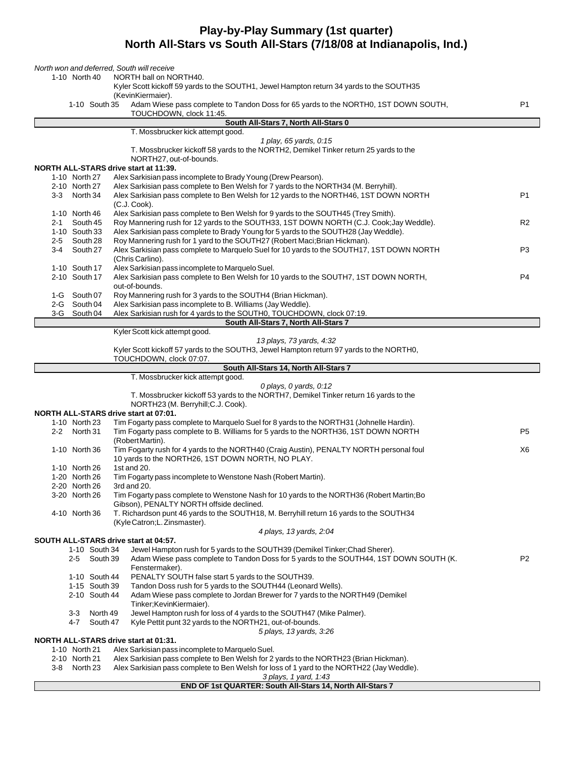## **Play-by-Play Summary (1st quarter) North All-Stars vs South All-Stars (7/18/08 at Indianapolis, Ind.)**

|         |                                | North won and deferred, South will receive                                                                                                                                         |                |
|---------|--------------------------------|------------------------------------------------------------------------------------------------------------------------------------------------------------------------------------|----------------|
|         | 1-10 North 40                  | NORTH ball on NORTH40.                                                                                                                                                             |                |
|         |                                | Kyler Scott kickoff 59 yards to the SOUTH1, Jewel Hampton return 34 yards to the SOUTH35<br>(KevinKiermaier).                                                                      |                |
|         | 1-10 South 35                  | Adam Wiese pass complete to Tandon Doss for 65 yards to the NORTH0, 1ST DOWN SOUTH,<br>TOUCHDOWN, clock 11:45.                                                                     | P <sub>1</sub> |
|         |                                | South All-Stars 7, North All-Stars 0                                                                                                                                               |                |
|         |                                | T. Mossbrucker kick attempt good.                                                                                                                                                  |                |
|         |                                | 1 play, 65 yards, 0:15                                                                                                                                                             |                |
|         |                                | T. Mossbrucker kickoff 58 yards to the NORTH2, Demikel Tinker return 25 yards to the<br>NORTH27, out-of-bounds.                                                                    |                |
|         |                                | NORTH ALL-STARS drive start at 11:39.                                                                                                                                              |                |
|         | 1-10 North 27<br>2-10 North 27 | Alex Sarkisian pass incomplete to Brady Young (Drew Pearson).<br>Alex Sarkisian pass complete to Ben Welsh for 7 yards to the NORTH34 (M. Berryhill).                              |                |
| $3 - 3$ | North 34                       | Alex Sarkisian pass complete to Ben Welsh for 12 yards to the NORTH46, 1ST DOWN NORTH                                                                                              | P1             |
|         |                                | $(C.J. Cook)$ .                                                                                                                                                                    |                |
|         | 1-10 North 46                  | Alex Sarkisian pass complete to Ben Welsh for 9 yards to the SOUTH45 (Trey Smith).                                                                                                 |                |
| 2-1     | South 45                       | Roy Mannering rush for 12 yards to the SOUTH33, 1ST DOWN NORTH (C.J. Cook; Jay Weddle).                                                                                            | R <sub>2</sub> |
|         | 1-10 South 33                  | Alex Sarkisian pass complete to Brady Young for 5 yards to the SOUTH28 (Jay Weddle).                                                                                               |                |
| $2 - 5$ | South 28                       | Roy Mannering rush for 1 yard to the SOUTH27 (Robert Maci; Brian Hickman).                                                                                                         |                |
| 3-4     | South 27                       | Alex Sarkisian pass complete to Marquelo Suel for 10 yards to the SOUTH17, 1ST DOWN NORTH<br>(Chris Carlino).                                                                      | P3             |
|         | 1-10 South 17                  | Alex Sarkisian pass incomplete to Marquelo Suel.                                                                                                                                   |                |
|         | 2-10 South 17                  | Alex Sarkisian pass complete to Ben Welsh for 10 yards to the SOUTH7, 1ST DOWN NORTH,                                                                                              | P4             |
|         |                                | out-of-bounds.                                                                                                                                                                     |                |
|         | 1-G South 07                   | Roy Mannering rush for 3 yards to the SOUTH4 (Brian Hickman).                                                                                                                      |                |
|         | 2-G South 04                   | Alex Sarkisian pass incomplete to B. Williams (Jay Weddle).                                                                                                                        |                |
|         | 3-G South 04                   | Alex Sarkisian rush for 4 yards to the SOUTH0, TOUCHDOWN, clock 07:19.                                                                                                             |                |
|         |                                | South All-Stars 7, North All-Stars 7                                                                                                                                               |                |
|         |                                | Kyler Scott kick attempt good.<br>13 plays, 73 yards, 4:32                                                                                                                         |                |
|         |                                | Kyler Scott kickoff 57 yards to the SOUTH3, Jewel Hampton return 97 yards to the NORTH0,                                                                                           |                |
|         |                                | TOUCHDOWN, clock 07:07.                                                                                                                                                            |                |
|         |                                | South All-Stars 14, North All-Stars 7                                                                                                                                              |                |
|         |                                | T. Mossbrucker kick attempt good.                                                                                                                                                  |                |
|         |                                | $0$ plays, $0$ yards, $0:12$                                                                                                                                                       |                |
|         |                                | T. Mossbrucker kickoff 53 yards to the NORTH7, Demikel Tinker return 16 yards to the                                                                                               |                |
|         |                                |                                                                                                                                                                                    |                |
|         |                                | NORTH23 (M. Berryhill; C.J. Cook).                                                                                                                                                 |                |
|         |                                | NORTH ALL-STARS drive start at 07:01.                                                                                                                                              |                |
|         | 1-10 North 23                  | Tim Fogarty pass complete to Marquelo Suel for 8 yards to the NORTH31 (Johnelle Hardin).                                                                                           | P5             |
|         | 2-2 North 31                   | Tim Fogarty pass complete to B. Williams for 5 yards to the NORTH36, 1ST DOWN NORTH<br>(RobertMartin).                                                                             |                |
|         | 1-10 North 36                  | Tim Fogarty rush for 4 yards to the NORTH40 (Craig Austin), PENALTY NORTH personal foul                                                                                            | X6             |
|         |                                | 10 yards to the NORTH26, 1ST DOWN NORTH, NO PLAY.                                                                                                                                  |                |
|         | 1-10 North 26                  | 1st and 20.                                                                                                                                                                        |                |
|         | 1-20 North 26                  | Tim Fogarty pass incomplete to Wenstone Nash (Robert Martin).                                                                                                                      |                |
|         | 2-20 North 26                  | 3rd and 20.                                                                                                                                                                        |                |
|         | 3-20 North 26                  | Tim Fogarty pass complete to Wenstone Nash for 10 yards to the NORTH36 (Robert Martin; Bo                                                                                          |                |
|         |                                | Gibson), PENALTY NORTH offside declined.                                                                                                                                           |                |
|         | 4-10 North 36                  | T. Richardson punt 46 yards to the SOUTH18, M. Berryhill return 16 yards to the SOUTH34                                                                                            |                |
|         |                                | (Kyle Catron; L. Zinsmaster).<br>4 plays, 13 yards, 2:04                                                                                                                           |                |
|         |                                | SOUTH ALL-STARS drive start at 04:57.                                                                                                                                              |                |
|         | 1-10 South 34                  | Jewel Hampton rush for 5 yards to the SOUTH39 (Demikel Tinker; Chad Sherer).                                                                                                       |                |
|         | South 39<br>$2 - 5$            | Adam Wiese pass complete to Tandon Doss for 5 yards to the SOUTH44, 1ST DOWN SOUTH (K.                                                                                             | P2             |
|         |                                | Fenstermaker).                                                                                                                                                                     |                |
|         | 1-10 South 44                  | PENALTY SOUTH false start 5 yards to the SOUTH39.                                                                                                                                  |                |
|         | 1-15 South 39                  | Tandon Doss rush for 5 yards to the SOUTH44 (Leonard Wells).                                                                                                                       |                |
|         | 2-10 South 44                  | Adam Wiese pass complete to Jordan Brewer for 7 yards to the NORTH49 (Demikel                                                                                                      |                |
|         | 3-3<br>North 49                | Tinker;KevinKiermaier).                                                                                                                                                            |                |
|         | 4-7<br>South 47                | Jewel Hampton rush for loss of 4 yards to the SOUTH47 (Mike Palmer).<br>Kyle Pettit punt 32 yards to the NORTH21, out-of-bounds.                                                   |                |
|         |                                | 5 plays, 13 yards, 3:26                                                                                                                                                            |                |
|         |                                | NORTH ALL-STARS drive start at 01:31.                                                                                                                                              |                |
|         | 1-10 North 21                  | Alex Sarkisian pass incomplete to Marquelo Suel.                                                                                                                                   |                |
| 3-8     | 2-10 North 21<br>North 23      | Alex Sarkisian pass complete to Ben Welsh for 2 yards to the NORTH23 (Brian Hickman).<br>Alex Sarkisian pass complete to Ben Welsh for loss of 1 yard to the NORTH22 (Jay Weddle). |                |

**END OF 1st QUARTER: South All-Stars 14, North All-Stars 7**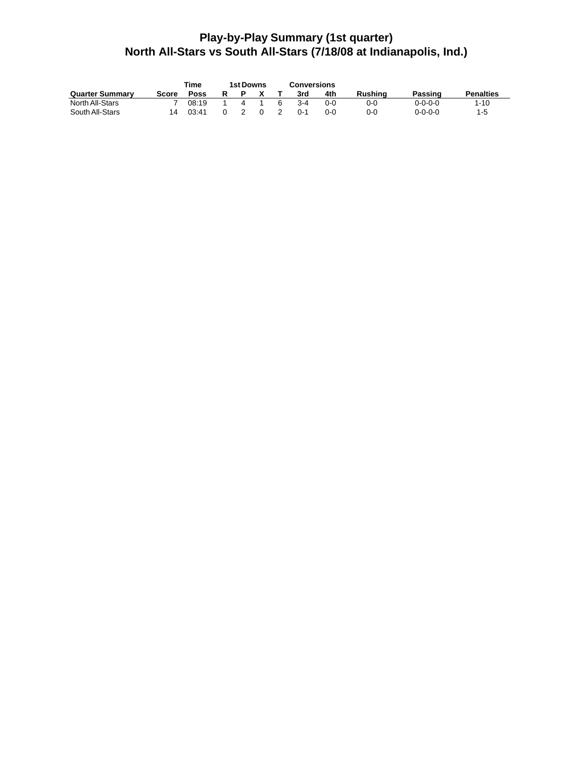# **Play-by-Play Summary (1st quarter) North All-Stars vs South All-Stars (7/18/08 at Indianapolis, Ind.)**

|                        | Time  | <b>1st Downs</b> |  | <b>Conversions</b> |         |     |         |         |                  |
|------------------------|-------|------------------|--|--------------------|---------|-----|---------|---------|------------------|
| <b>Quarter Summary</b> | Score | <b>Poss</b>      |  |                    | 3rd     | 4th | Rushina | Passing | <b>Penalties</b> |
| North All-Stars        |       | 08:19            |  |                    | $3 - 4$ | 0-0 | 0-0     | 0-0-0-0 | $1 - 10$         |
| South All-Stars        | 14    | 03:41            |  |                    | 0-1     | 0-0 | 0-0     | 0-0-0-0 | $1 - 5$          |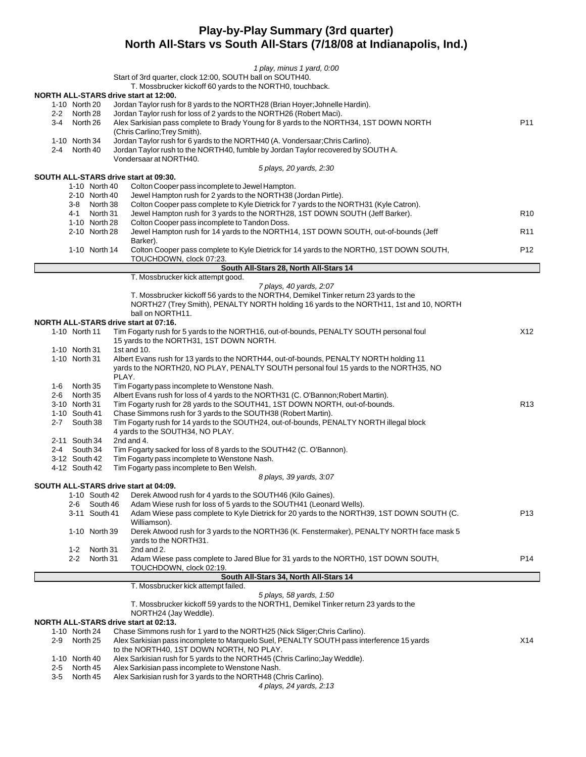## **Play-by-Play Summary (3rd quarter) North All-Stars vs South All-Stars (7/18/08 at Indianapolis, Ind.)**

|                                                                                                         |                               | 1 play, minus 1 yard, 0:00                                                                                             |                 |  |  |  |  |  |  |  |
|---------------------------------------------------------------------------------------------------------|-------------------------------|------------------------------------------------------------------------------------------------------------------------|-----------------|--|--|--|--|--|--|--|
|                                                                                                         |                               | Start of 3rd quarter, clock 12:00, SOUTH ball on SOUTH40.                                                              |                 |  |  |  |  |  |  |  |
|                                                                                                         |                               | T. Mossbrucker kickoff 60 yards to the NORTH0, touchback.                                                              |                 |  |  |  |  |  |  |  |
|                                                                                                         | 1-10 North 20                 | NORTH ALL-STARS drive start at 12:00.<br>Jordan Taylor rush for 8 yards to the NORTH28 (Brian Hoyer; Johnelle Hardin). |                 |  |  |  |  |  |  |  |
|                                                                                                         | 2-2 North 28                  | Jordan Taylor rush for loss of 2 yards to the NORTH26 (Robert Maci).                                                   |                 |  |  |  |  |  |  |  |
| Alex Sarkisian pass complete to Brady Young for 8 yards to the NORTH34, 1ST DOWN NORTH<br>3-4 North 26  |                               |                                                                                                                        |                 |  |  |  |  |  |  |  |
|                                                                                                         |                               | (Chris Carlino; Trey Smith).                                                                                           |                 |  |  |  |  |  |  |  |
| Jordan Taylor rush for 6 yards to the NORTH40 (A. Vondersaar; Chris Carlino).<br>1-10 North 34          |                               |                                                                                                                        |                 |  |  |  |  |  |  |  |
| Jordan Taylor rush to the NORTH40, fumble by Jordan Taylor recovered by SOUTH A.<br>$2 - 4$<br>North 40 |                               |                                                                                                                        |                 |  |  |  |  |  |  |  |
|                                                                                                         |                               | Vondersaar at NORTH40.                                                                                                 |                 |  |  |  |  |  |  |  |
|                                                                                                         |                               | 5 plays, 20 yards, 2:30                                                                                                |                 |  |  |  |  |  |  |  |
|                                                                                                         |                               | SOUTH ALL-STARS drive start at 09:30.                                                                                  |                 |  |  |  |  |  |  |  |
|                                                                                                         | 1-10 North 40                 | Colton Cooper pass incomplete to Jewel Hampton.<br>Jewel Hampton rush for 2 yards to the NORTH38 (Jordan Pirtle).      |                 |  |  |  |  |  |  |  |
|                                                                                                         | 2-10 North 40<br>3-8 North 38 | Colton Cooper pass complete to Kyle Dietrick for 7 yards to the NORTH31 (Kyle Catron).                                 |                 |  |  |  |  |  |  |  |
|                                                                                                         | 4-1 North 31                  | Jewel Hampton rush for 3 yards to the NORTH28, 1ST DOWN SOUTH (Jeff Barker).                                           | R <sub>10</sub> |  |  |  |  |  |  |  |
|                                                                                                         | 1-10 North 28                 | Colton Cooper pass incomplete to Tandon Doss.                                                                          |                 |  |  |  |  |  |  |  |
|                                                                                                         | 2-10 North 28                 | Jewel Hampton rush for 14 yards to the NORTH14, 1ST DOWN SOUTH, out-of-bounds (Jeff                                    | R11             |  |  |  |  |  |  |  |
|                                                                                                         |                               | Barker).                                                                                                               |                 |  |  |  |  |  |  |  |
|                                                                                                         | 1-10 North 14                 | Colton Cooper pass complete to Kyle Dietrick for 14 yards to the NORTH0, 1ST DOWN SOUTH,                               | P12             |  |  |  |  |  |  |  |
|                                                                                                         |                               | TOUCHDOWN, clock 07:23.                                                                                                |                 |  |  |  |  |  |  |  |
|                                                                                                         |                               | South All-Stars 28, North All-Stars 14                                                                                 |                 |  |  |  |  |  |  |  |
|                                                                                                         |                               | T. Mossbrucker kick attempt good.                                                                                      |                 |  |  |  |  |  |  |  |
|                                                                                                         |                               | 7 plays, 40 yards, 2:07                                                                                                |                 |  |  |  |  |  |  |  |
|                                                                                                         |                               | T. Mossbrucker kickoff 56 yards to the NORTH4, Demikel Tinker return 23 yards to the                                   |                 |  |  |  |  |  |  |  |
|                                                                                                         |                               | NORTH27 (Trey Smith), PENALTY NORTH holding 16 yards to the NORTH11, 1st and 10, NORTH<br>ball on NORTH11.             |                 |  |  |  |  |  |  |  |
|                                                                                                         |                               | NORTH ALL-STARS drive start at 07:16.                                                                                  |                 |  |  |  |  |  |  |  |
|                                                                                                         | 1-10 North 11                 | Tim Fogarty rush for 5 yards to the NORTH16, out-of-bounds, PENALTY SOUTH personal foul                                | X12             |  |  |  |  |  |  |  |
|                                                                                                         |                               | 15 yards to the NORTH31, 1ST DOWN NORTH.                                                                               |                 |  |  |  |  |  |  |  |
|                                                                                                         | 1-10 North 31                 | 1st and 10.                                                                                                            |                 |  |  |  |  |  |  |  |
|                                                                                                         | 1-10 North 31                 | Albert Evans rush for 13 yards to the NORTH44, out-of-bounds, PENALTY NORTH holding 11                                 |                 |  |  |  |  |  |  |  |
|                                                                                                         |                               | yards to the NORTH20, NO PLAY, PENALTY SOUTH personal foul 15 yards to the NORTH35, NO                                 |                 |  |  |  |  |  |  |  |
|                                                                                                         |                               | PLAY.                                                                                                                  |                 |  |  |  |  |  |  |  |
|                                                                                                         | 1-6 North 35                  | Tim Fogarty pass incomplete to Wenstone Nash.                                                                          |                 |  |  |  |  |  |  |  |
| 2-6                                                                                                     | North 35                      | Albert Evans rush for loss of 4 yards to the NORTH31 (C. O'Bannon; Robert Martin).                                     |                 |  |  |  |  |  |  |  |
|                                                                                                         | 3-10 North 31                 | Tim Fogarty rush for 28 yards to the SOUTH41, 1ST DOWN NORTH, out-of-bounds.                                           | R <sub>13</sub> |  |  |  |  |  |  |  |
|                                                                                                         | 1-10 South 41                 | Chase Simmons rush for 3 yards to the SOUTH38 (Robert Martin).                                                         |                 |  |  |  |  |  |  |  |
| $2 - 7$                                                                                                 | South 38                      | Tim Fogarty rush for 14 yards to the SOUTH24, out-of-bounds, PENALTY NORTH illegal block                               |                 |  |  |  |  |  |  |  |
|                                                                                                         | 2-11 South 34                 | 4 yards to the SOUTH34, NO PLAY.<br>2nd and 4.                                                                         |                 |  |  |  |  |  |  |  |
|                                                                                                         | 2-4 South 34                  | Tim Fogarty sacked for loss of 8 yards to the SOUTH42 (C. O'Bannon).                                                   |                 |  |  |  |  |  |  |  |
|                                                                                                         | 3-12 South 42                 | Tim Fogarty pass incomplete to Wenstone Nash.                                                                          |                 |  |  |  |  |  |  |  |
|                                                                                                         | 4-12 South 42                 | Tim Fogarty pass incomplete to Ben Welsh.                                                                              |                 |  |  |  |  |  |  |  |
|                                                                                                         |                               | 8 plays, 39 yards, 3:07                                                                                                |                 |  |  |  |  |  |  |  |
|                                                                                                         |                               | SOUTH ALL-STARS drive start at 04:09.                                                                                  |                 |  |  |  |  |  |  |  |
|                                                                                                         | 1-10 South 42                 | Derek Atwood rush for 4 yards to the SOUTH46 (Kilo Gaines).                                                            |                 |  |  |  |  |  |  |  |
|                                                                                                         | South 46<br>$2 - 6$           | Adam Wiese rush for loss of 5 yards to the SOUTH41 (Leonard Wells).                                                    |                 |  |  |  |  |  |  |  |
|                                                                                                         | 3-11 South 41                 | Adam Wiese pass complete to Kyle Dietrick for 20 yards to the NORTH39, 1ST DOWN SOUTH (C.                              | P <sub>13</sub> |  |  |  |  |  |  |  |
|                                                                                                         |                               | Williamson).                                                                                                           |                 |  |  |  |  |  |  |  |
|                                                                                                         | 1-10 North 39                 | Derek Atwood rush for 3 yards to the NORTH36 (K. Fenstermaker), PENALTY NORTH face mask 5                              |                 |  |  |  |  |  |  |  |
|                                                                                                         |                               | yards to the NORTH31.                                                                                                  |                 |  |  |  |  |  |  |  |
|                                                                                                         | 1-2<br>North 31               | 2nd and 2.                                                                                                             |                 |  |  |  |  |  |  |  |
|                                                                                                         | 2-2<br>North 31               | Adam Wiese pass complete to Jared Blue for 31 yards to the NORTH0, 1ST DOWN SOUTH,<br>TOUCHDOWN, clock 02:19.          | P <sub>14</sub> |  |  |  |  |  |  |  |
|                                                                                                         |                               | South All-Stars 34, North All-Stars 14                                                                                 |                 |  |  |  |  |  |  |  |
|                                                                                                         |                               | T. Mossbrucker kick attempt failed.                                                                                    |                 |  |  |  |  |  |  |  |
|                                                                                                         |                               | 5 plays, 58 yards, 1:50                                                                                                |                 |  |  |  |  |  |  |  |
|                                                                                                         |                               | T. Mossbrucker kickoff 59 yards to the NORTH1, Demikel Tinker return 23 yards to the                                   |                 |  |  |  |  |  |  |  |
|                                                                                                         |                               | NORTH24 (Jay Weddle).                                                                                                  |                 |  |  |  |  |  |  |  |
|                                                                                                         |                               | <b>NORTH ALL-STARS drive start at 02:13.</b>                                                                           |                 |  |  |  |  |  |  |  |
|                                                                                                         | 1-10 North 24                 | Chase Simmons rush for 1 yard to the NORTH25 (Nick Sliger; Chris Carlino).                                             |                 |  |  |  |  |  |  |  |
| $2 - 9$                                                                                                 | North 25                      | Alex Sarkisian pass incomplete to Marquelo Suel, PENALTY SOUTH pass interference 15 yards                              | X14             |  |  |  |  |  |  |  |
|                                                                                                         |                               | to the NORTH40, 1ST DOWN NORTH, NO PLAY.                                                                               |                 |  |  |  |  |  |  |  |
|                                                                                                         | 1-10 North 40                 | Alex Sarkisian rush for 5 yards to the NORTH45 (Chris Carlino; Jay Weddle).                                            |                 |  |  |  |  |  |  |  |
| $2 - 5$                                                                                                 | North 45                      | Alex Sarkisian pass incomplete to Wenstone Nash.                                                                       |                 |  |  |  |  |  |  |  |
| $3-5$                                                                                                   | North 45                      | Alex Sarkisian rush for 3 yards to the NORTH48 (Chris Carlino).                                                        |                 |  |  |  |  |  |  |  |
|                                                                                                         |                               | 4 plays, 24 yards, 2:13                                                                                                |                 |  |  |  |  |  |  |  |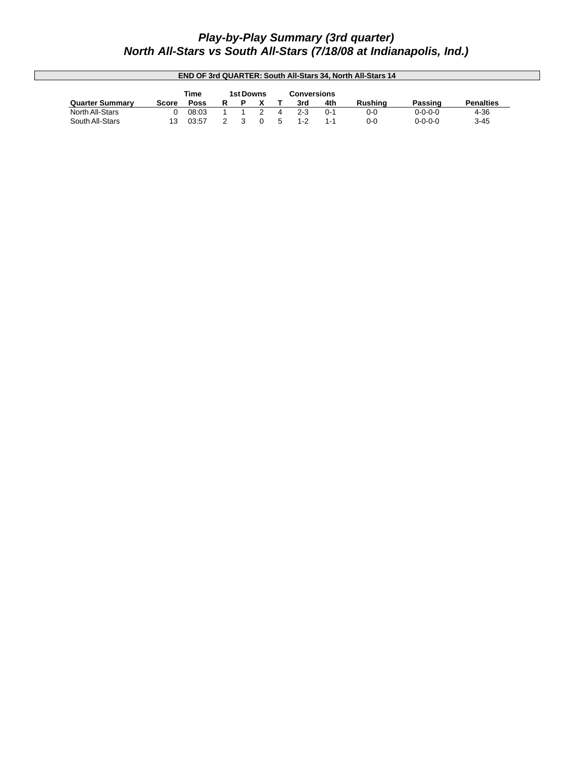# *Play-by-Play Summary (3rd quarter) North All-Stars vs South All-Stars (7/18/08 at Indianapolis, Ind.)*

| <b>END OF 3rd QUARTER: South All-Stars 34. North All-Stars 14</b> |       |                  |  |  |  |                    |     |         |         |                 |                  |
|-------------------------------------------------------------------|-------|------------------|--|--|--|--------------------|-----|---------|---------|-----------------|------------------|
|                                                                   |       | <b>1st Downs</b> |  |  |  | <b>Conversions</b> |     |         |         |                 |                  |
| <b>Quarter Summary</b>                                            | Score | <b>Poss</b>      |  |  |  |                    | 3rd | 4th     | Rushina | Passing         | <b>Penalties</b> |
| North All-Stars                                                   |       | 08:03            |  |  |  |                    | 2-3 | $0 - 1$ | 0-0     | $0 - 0 - 0 - 0$ | 4-36             |
| South All-Stars                                                   | 13    | 03:57            |  |  |  |                    |     | 1-1     | $0 - 0$ | $0 - 0 - 0 - 0$ | $3 - 45$         |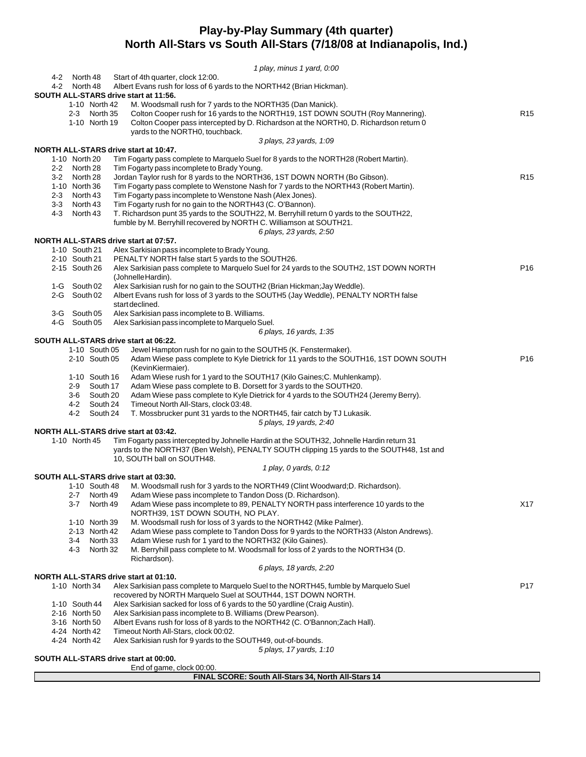## **Play-by-Play Summary (4th quarter) North All-Stars vs South All-Stars (7/18/08 at Indianapolis, Ind.)**

|                                                                                                                                           |               |  | 1 play, minus 1 yard, 0:00                                                                              |                 |  |  |  |  |  |  |  |
|-------------------------------------------------------------------------------------------------------------------------------------------|---------------|--|---------------------------------------------------------------------------------------------------------|-----------------|--|--|--|--|--|--|--|
| 4-2 North 48                                                                                                                              |               |  | Start of 4th quarter, clock 12:00.                                                                      |                 |  |  |  |  |  |  |  |
| 4-2 North 48                                                                                                                              |               |  | Albert Evans rush for loss of 6 yards to the NORTH42 (Brian Hickman).                                   |                 |  |  |  |  |  |  |  |
|                                                                                                                                           |               |  | SOUTH ALL-STARS drive start at 11:56.                                                                   |                 |  |  |  |  |  |  |  |
|                                                                                                                                           | 1-10 North 42 |  | M. Woodsmall rush for 7 yards to the NORTH35 (Dan Manick).                                              | R <sub>15</sub> |  |  |  |  |  |  |  |
| Colton Cooper rush for 16 yards to the NORTH19, 1ST DOWN SOUTH (Roy Mannering).<br>2-3 North 35                                           |               |  |                                                                                                         |                 |  |  |  |  |  |  |  |
| Colton Cooper pass intercepted by D. Richardson at the NORTH0, D. Richardson return 0<br>1-10 North 19<br>yards to the NORTH0, touchback. |               |  |                                                                                                         |                 |  |  |  |  |  |  |  |
|                                                                                                                                           |               |  |                                                                                                         |                 |  |  |  |  |  |  |  |
|                                                                                                                                           |               |  | 3 plays, 23 yards, 1:09<br>NORTH ALL-STARS drive start at 10:47.                                        |                 |  |  |  |  |  |  |  |
| 1-10 North 20                                                                                                                             |               |  | Tim Fogarty pass complete to Marquelo Suel for 8 yards to the NORTH28 (Robert Martin).                  |                 |  |  |  |  |  |  |  |
|                                                                                                                                           |               |  | Tim Fogarty pass incomplete to Brady Young.                                                             |                 |  |  |  |  |  |  |  |
| 2-2 North 28<br>Jordan Taylor rush for 8 yards to the NORTH36, 1ST DOWN NORTH (Bo Gibson).<br>R <sub>15</sub><br>3-2 North 28             |               |  |                                                                                                         |                 |  |  |  |  |  |  |  |
| 1-10 North 36<br>Tim Fogarty pass complete to Wenstone Nash for 7 yards to the NORTH43 (Robert Martin).                                   |               |  |                                                                                                         |                 |  |  |  |  |  |  |  |
| 2-3 North 43<br>Tim Fogarty pass incomplete to Wenstone Nash (Alex Jones).                                                                |               |  |                                                                                                         |                 |  |  |  |  |  |  |  |
| 3-3 North 43<br>Tim Fogarty rush for no gain to the NORTH43 (C. O'Bannon).                                                                |               |  |                                                                                                         |                 |  |  |  |  |  |  |  |
| 4-3 North 43<br>T. Richardson punt 35 yards to the SOUTH22, M. Berryhill return 0 yards to the SOUTH22,                                   |               |  |                                                                                                         |                 |  |  |  |  |  |  |  |
| fumble by M. Berryhill recovered by NORTH C. Williamson at SOUTH21.                                                                       |               |  |                                                                                                         |                 |  |  |  |  |  |  |  |
|                                                                                                                                           |               |  | 6 plays, 23 yards, 2:50                                                                                 |                 |  |  |  |  |  |  |  |
|                                                                                                                                           |               |  | NORTH ALL-STARS drive start at 07:57.                                                                   |                 |  |  |  |  |  |  |  |
| 1-10 South 21                                                                                                                             |               |  | Alex Sarkisian pass incomplete to Brady Young.                                                          |                 |  |  |  |  |  |  |  |
| 2-10 South 21                                                                                                                             |               |  | PENALTY NORTH false start 5 yards to the SOUTH26.                                                       |                 |  |  |  |  |  |  |  |
| 2-15 South 26                                                                                                                             |               |  | Alex Sarkisian pass complete to Marquelo Suel for 24 yards to the SOUTH2, 1ST DOWN NORTH                | P <sub>16</sub> |  |  |  |  |  |  |  |
|                                                                                                                                           |               |  | (JohnelleHardin).                                                                                       |                 |  |  |  |  |  |  |  |
| 1-G South 02                                                                                                                              |               |  | Alex Sarkisian rush for no gain to the SOUTH2 (Brian Hickman; Jay Weddle).                              |                 |  |  |  |  |  |  |  |
| 2-G South 02                                                                                                                              |               |  | Albert Evans rush for loss of 3 yards to the SOUTH5 (Jay Weddle), PENALTY NORTH false                   |                 |  |  |  |  |  |  |  |
|                                                                                                                                           |               |  | start declined.                                                                                         |                 |  |  |  |  |  |  |  |
| 3-G South 05<br>4-G South 05                                                                                                              |               |  | Alex Sarkisian pass incomplete to B. Williams.<br>Alex Sarkisian pass incomplete to Marquelo Suel.      |                 |  |  |  |  |  |  |  |
|                                                                                                                                           |               |  | 6 plays, 16 yards, 1:35                                                                                 |                 |  |  |  |  |  |  |  |
|                                                                                                                                           |               |  | SOUTH ALL-STARS drive start at 06:22.                                                                   |                 |  |  |  |  |  |  |  |
|                                                                                                                                           | 1-10 South 05 |  | Jewel Hampton rush for no gain to the SOUTH5 (K. Fenstermaker).                                         |                 |  |  |  |  |  |  |  |
|                                                                                                                                           | 2-10 South 05 |  | Adam Wiese pass complete to Kyle Dietrick for 11 yards to the SOUTH16, 1ST DOWN SOUTH                   | P <sub>16</sub> |  |  |  |  |  |  |  |
|                                                                                                                                           |               |  | (KevinKiermaier).                                                                                       |                 |  |  |  |  |  |  |  |
|                                                                                                                                           | 1-10 South 16 |  | Adam Wiese rush for 1 yard to the SOUTH17 (Kilo Gaines; C. Muhlenkamp).                                 |                 |  |  |  |  |  |  |  |
|                                                                                                                                           | 2-9 South 17  |  | Adam Wiese pass complete to B. Dorsett for 3 yards to the SOUTH20.                                      |                 |  |  |  |  |  |  |  |
|                                                                                                                                           | 3-6 South 20  |  | Adam Wiese pass complete to Kyle Dietrick for 4 yards to the SOUTH24 (Jeremy Berry).                    |                 |  |  |  |  |  |  |  |
|                                                                                                                                           | 4-2 South 24  |  | Timeout North All-Stars, clock 03:48.                                                                   |                 |  |  |  |  |  |  |  |
|                                                                                                                                           | 4-2 South 24  |  | T. Mossbrucker punt 31 yards to the NORTH45, fair catch by TJ Lukasik.                                  |                 |  |  |  |  |  |  |  |
|                                                                                                                                           |               |  | 5 plays, 19 yards, 2:40                                                                                 |                 |  |  |  |  |  |  |  |
|                                                                                                                                           |               |  | NORTH ALL-STARS drive start at 03:42.                                                                   |                 |  |  |  |  |  |  |  |
| 1-10 North 45                                                                                                                             |               |  | Tim Fogarty pass intercepted by Johnelle Hardin at the SOUTH32, Johnelle Hardin return 31               |                 |  |  |  |  |  |  |  |
|                                                                                                                                           |               |  | yards to the NORTH37 (Ben Welsh), PENALTY SOUTH clipping 15 yards to the SOUTH48, 1st and               |                 |  |  |  |  |  |  |  |
|                                                                                                                                           |               |  | 10, SOUTH ball on SOUTH48.                                                                              |                 |  |  |  |  |  |  |  |
|                                                                                                                                           |               |  | 1 play, 0 yards, 0:12<br>SOUTH ALL-STARS drive start at 03:30.                                          |                 |  |  |  |  |  |  |  |
|                                                                                                                                           | 1-10 South 48 |  | M. Woodsmall rush for 3 yards to the NORTH49 (Clint Woodward; D. Richardson).                           |                 |  |  |  |  |  |  |  |
| 2-7                                                                                                                                       | North 49      |  | Adam Wiese pass incomplete to Tandon Doss (D. Richardson).                                              |                 |  |  |  |  |  |  |  |
| $3 - 7$                                                                                                                                   | North 49      |  | Adam Wiese pass incomplete to 89, PENALTY NORTH pass interference 10 yards to the                       | X17             |  |  |  |  |  |  |  |
|                                                                                                                                           |               |  | NORTH39, 1ST DOWN SOUTH, NO PLAY.                                                                       |                 |  |  |  |  |  |  |  |
|                                                                                                                                           | 1-10 North 39 |  | M. Woodsmall rush for loss of 3 yards to the NORTH42 (Mike Palmer).                                     |                 |  |  |  |  |  |  |  |
|                                                                                                                                           | 2-13 North 42 |  | Adam Wiese pass complete to Tandon Doss for 9 yards to the NORTH33 (Alston Andrews).                    |                 |  |  |  |  |  |  |  |
| 3-4                                                                                                                                       | North 33      |  | Adam Wiese rush for 1 yard to the NORTH32 (Kilo Gaines).                                                |                 |  |  |  |  |  |  |  |
| 4-3                                                                                                                                       | North 32      |  | M. Berryhill pass complete to M. Woodsmall for loss of 2 yards to the NORTH34 (D.                       |                 |  |  |  |  |  |  |  |
|                                                                                                                                           |               |  | Richardson).                                                                                            |                 |  |  |  |  |  |  |  |
|                                                                                                                                           |               |  | 6 plays, 18 yards, 2:20                                                                                 |                 |  |  |  |  |  |  |  |
|                                                                                                                                           |               |  | <b>NORTH ALL-STARS drive start at 01:10.</b>                                                            |                 |  |  |  |  |  |  |  |
| 1-10 North 34                                                                                                                             |               |  | Alex Sarkisian pass complete to Marquelo Suel to the NORTH45, fumble by Marquelo Suel                   | P <sub>17</sub> |  |  |  |  |  |  |  |
|                                                                                                                                           |               |  | recovered by NORTH Marquelo Suel at SOUTH44, 1ST DOWN NORTH.                                            |                 |  |  |  |  |  |  |  |
| 1-10 South 44                                                                                                                             |               |  | Alex Sarkisian sacked for loss of 6 yards to the 50 yardline (Craig Austin).                            |                 |  |  |  |  |  |  |  |
| 2-16 North 50                                                                                                                             |               |  | Alex Sarkisian pass incomplete to B. Williams (Drew Pearson).                                           |                 |  |  |  |  |  |  |  |
| 3-16 North 50                                                                                                                             |               |  | Albert Evans rush for loss of 8 yards to the NORTH42 (C. O'Bannon; Zach Hall).                          |                 |  |  |  |  |  |  |  |
| 4-24 North 42<br>4-24 North 42                                                                                                            |               |  | Timeout North All-Stars, clock 00:02.<br>Alex Sarkisian rush for 9 yards to the SOUTH49, out-of-bounds. |                 |  |  |  |  |  |  |  |
|                                                                                                                                           |               |  | 5 plays, 17 yards, 1:10                                                                                 |                 |  |  |  |  |  |  |  |
|                                                                                                                                           |               |  | SOUTH ALL-STARS drive start at 00:00.                                                                   |                 |  |  |  |  |  |  |  |

End of game, clock 00:00.